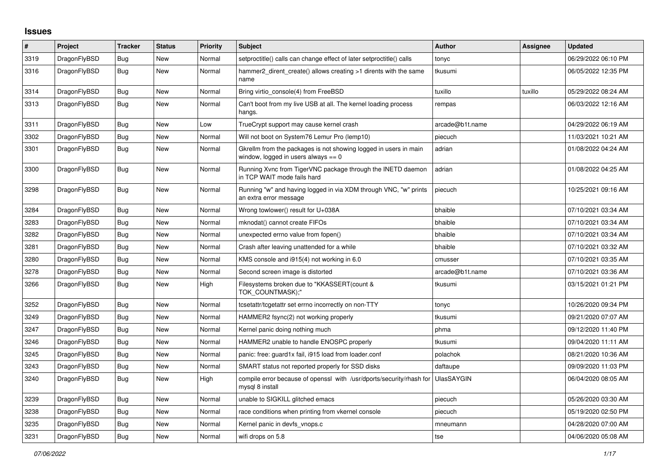## **Issues**

| #    | Project      | Tracker    | <b>Status</b> | <b>Priority</b> | <b>Subject</b>                                                                                            | <b>Author</b>     | Assignee | <b>Updated</b>      |
|------|--------------|------------|---------------|-----------------|-----------------------------------------------------------------------------------------------------------|-------------------|----------|---------------------|
| 3319 | DragonFlyBSD | Bug        | New           | Normal          | setproctitle() calls can change effect of later setproctitle() calls                                      | tonyc             |          | 06/29/2022 06:10 PM |
| 3316 | DragonFlyBSD | Bug        | New           | Normal          | hammer2 dirent create() allows creating >1 dirents with the same<br>name                                  | tkusumi           |          | 06/05/2022 12:35 PM |
| 3314 | DragonFlyBSD | <b>Bug</b> | <b>New</b>    | Normal          | Bring virtio_console(4) from FreeBSD                                                                      | tuxillo           | tuxillo  | 05/29/2022 08:24 AM |
| 3313 | DragonFlyBSD | <b>Bug</b> | New           | Normal          | Can't boot from my live USB at all. The kernel loading process<br>hangs.                                  | rempas            |          | 06/03/2022 12:16 AM |
| 3311 | DragonFlyBSD | <b>Bug</b> | New           | Low             | TrueCrypt support may cause kernel crash                                                                  | arcade@b1t.name   |          | 04/29/2022 06:19 AM |
| 3302 | DragonFlyBSD | Bug        | <b>New</b>    | Normal          | Will not boot on System76 Lemur Pro (lemp10)                                                              | piecuch           |          | 11/03/2021 10:21 AM |
| 3301 | DragonFlyBSD | <b>Bug</b> | New           | Normal          | Gkrellm from the packages is not showing logged in users in main<br>window, logged in users always $== 0$ | adrian            |          | 01/08/2022 04:24 AM |
| 3300 | DragonFlyBSD | <b>Bug</b> | New           | Normal          | Running Xvnc from TigerVNC package through the INETD daemon<br>in TCP WAIT mode fails hard                | adrian            |          | 01/08/2022 04:25 AM |
| 3298 | DragonFlyBSD | <b>Bug</b> | New           | Normal          | Running "w" and having logged in via XDM through VNC, "w" prints<br>an extra error message                | piecuch           |          | 10/25/2021 09:16 AM |
| 3284 | DragonFlyBSD | Bug        | New           | Normal          | Wrong towlower() result for U+038A                                                                        | bhaible           |          | 07/10/2021 03:34 AM |
| 3283 | DragonFlyBSD | Bug        | <b>New</b>    | Normal          | mknodat() cannot create FIFOs                                                                             | bhaible           |          | 07/10/2021 03:34 AM |
| 3282 | DragonFlyBSD | Bug        | New           | Normal          | unexpected errno value from fopen()                                                                       | bhaible           |          | 07/10/2021 03:34 AM |
| 3281 | DragonFlyBSD | Bug        | New           | Normal          | Crash after leaving unattended for a while                                                                | bhaible           |          | 07/10/2021 03:32 AM |
| 3280 | DragonFlyBSD | <b>Bug</b> | New           | Normal          | KMS console and i915(4) not working in 6.0                                                                | cmusser           |          | 07/10/2021 03:35 AM |
| 3278 | DragonFlyBSD | Bug        | New           | Normal          | Second screen image is distorted                                                                          | arcade@b1t.name   |          | 07/10/2021 03:36 AM |
| 3266 | DragonFlyBSD | <b>Bug</b> | New           | High            | Filesystems broken due to "KKASSERT(count &<br>TOK COUNTMASK);"                                           | tkusumi           |          | 03/15/2021 01:21 PM |
| 3252 | DragonFlyBSD | <b>Bug</b> | New           | Normal          | tcsetattr/tcgetattr set errno incorrectly on non-TTY                                                      | tonyc             |          | 10/26/2020 09:34 PM |
| 3249 | DragonFlyBSD | Bug        | New           | Normal          | HAMMER2 fsync(2) not working properly                                                                     | tkusumi           |          | 09/21/2020 07:07 AM |
| 3247 | DragonFlyBSD | Bug        | New           | Normal          | Kernel panic doing nothing much                                                                           | phma              |          | 09/12/2020 11:40 PM |
| 3246 | DragonFlyBSD | Bug        | New           | Normal          | HAMMER2 unable to handle ENOSPC properly                                                                  | tkusumi           |          | 09/04/2020 11:11 AM |
| 3245 | DragonFlyBSD | <b>Bug</b> | New           | Normal          | panic: free: guard1x fail, i915 load from loader.conf                                                     | polachok          |          | 08/21/2020 10:36 AM |
| 3243 | DragonFlyBSD | Bug        | New           | Normal          | SMART status not reported properly for SSD disks                                                          | daftaupe          |          | 09/09/2020 11:03 PM |
| 3240 | DragonFlyBSD | Bug        | New           | High            | compile error because of openssl with /usr/dports/security/rhash for<br>mysql 8 install                   | <b>UlasSAYGIN</b> |          | 06/04/2020 08:05 AM |
| 3239 | DragonFlyBSD | Bug        | New           | Normal          | unable to SIGKILL glitched emacs                                                                          | piecuch           |          | 05/26/2020 03:30 AM |
| 3238 | DragonFlyBSD | <b>Bug</b> | New           | Normal          | race conditions when printing from vkernel console                                                        | piecuch           |          | 05/19/2020 02:50 PM |
| 3235 | DragonFlyBSD | Bug        | New           | Normal          | Kernel panic in devfs vnops.c                                                                             | mneumann          |          | 04/28/2020 07:00 AM |
| 3231 | DragonFlyBSD | Bug        | New           | Normal          | wifi drops on 5.8                                                                                         | tse               |          | 04/06/2020 05:08 AM |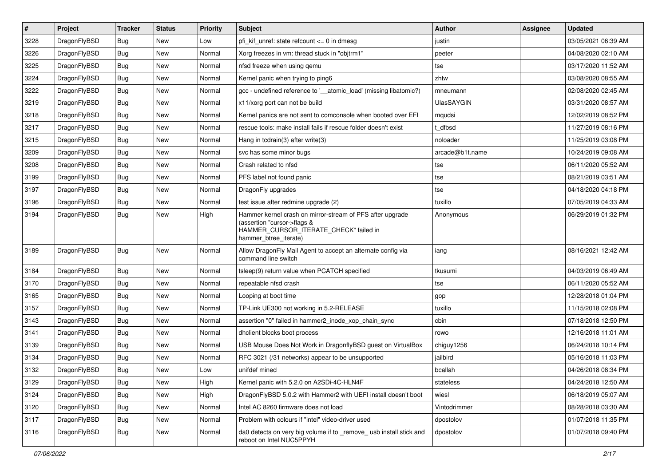| $\sharp$ | Project      | <b>Tracker</b> | <b>Status</b> | <b>Priority</b> | Subject                                                                                                                                                     | <b>Author</b>     | Assignee | <b>Updated</b>      |
|----------|--------------|----------------|---------------|-----------------|-------------------------------------------------------------------------------------------------------------------------------------------------------------|-------------------|----------|---------------------|
| 3228     | DragonFlyBSD | <b>Bug</b>     | New           | Low             | pfi kif unref: state refcount $\leq$ 0 in dmesg                                                                                                             | justin            |          | 03/05/2021 06:39 AM |
| 3226     | DragonFlyBSD | <b>Bug</b>     | New           | Normal          | Xorg freezes in vm: thread stuck in "objtrm1"                                                                                                               | peeter            |          | 04/08/2020 02:10 AM |
| 3225     | DragonFlyBSD | <b>Bug</b>     | New           | Normal          | nfsd freeze when using gemu                                                                                                                                 | tse               |          | 03/17/2020 11:52 AM |
| 3224     | DragonFlyBSD | <b>Bug</b>     | New           | Normal          | Kernel panic when trying to ping6                                                                                                                           | zhtw              |          | 03/08/2020 08:55 AM |
| 3222     | DragonFlyBSD | <b>Bug</b>     | <b>New</b>    | Normal          | gcc - undefined reference to '__atomic_load' (missing libatomic?)                                                                                           | mneumann          |          | 02/08/2020 02:45 AM |
| 3219     | DragonFlyBSD | <b>Bug</b>     | <b>New</b>    | Normal          | x11/xorg port can not be build                                                                                                                              | <b>UlasSAYGIN</b> |          | 03/31/2020 08:57 AM |
| 3218     | DragonFlyBSD | <b>Bug</b>     | New           | Normal          | Kernel panics are not sent to comconsole when booted over EFI                                                                                               | mqudsi            |          | 12/02/2019 08:52 PM |
| 3217     | DragonFlyBSD | <b>Bug</b>     | <b>New</b>    | Normal          | rescue tools: make install fails if rescue folder doesn't exist                                                                                             | t dfbsd           |          | 11/27/2019 08:16 PM |
| 3215     | DragonFlyBSD | <b>Bug</b>     | New           | Normal          | Hang in tcdrain(3) after write(3)                                                                                                                           | noloader          |          | 11/25/2019 03:08 PM |
| 3209     | DragonFlyBSD | <b>Bug</b>     | <b>New</b>    | Normal          | svc has some minor bugs                                                                                                                                     | arcade@b1t.name   |          | 10/24/2019 09:08 AM |
| 3208     | DragonFlyBSD | <b>Bug</b>     | New           | Normal          | Crash related to nfsd                                                                                                                                       | tse               |          | 06/11/2020 05:52 AM |
| 3199     | DragonFlyBSD | <b>Bug</b>     | <b>New</b>    | Normal          | PFS label not found panic                                                                                                                                   | tse               |          | 08/21/2019 03:51 AM |
| 3197     | DragonFlyBSD | <b>Bug</b>     | <b>New</b>    | Normal          | DragonFly upgrades                                                                                                                                          | tse               |          | 04/18/2020 04:18 PM |
| 3196     | DragonFlyBSD | <b>Bug</b>     | New           | Normal          | test issue after redmine upgrade (2)                                                                                                                        | tuxillo           |          | 07/05/2019 04:33 AM |
| 3194     | DragonFlyBSD | <b>Bug</b>     | New           | High            | Hammer kernel crash on mirror-stream of PFS after upgrade<br>(assertion "cursor->flags &<br>HAMMER_CURSOR_ITERATE_CHECK" failed in<br>hammer_btree_iterate) | Anonymous         |          | 06/29/2019 01:32 PM |
| 3189     | DragonFlyBSD | <b>Bug</b>     | New           | Normal          | Allow DragonFly Mail Agent to accept an alternate config via<br>command line switch                                                                         | iang              |          | 08/16/2021 12:42 AM |
| 3184     | DragonFlyBSD | <b>Bug</b>     | <b>New</b>    | Normal          | tsleep(9) return value when PCATCH specified                                                                                                                | tkusumi           |          | 04/03/2019 06:49 AM |
| 3170     | DragonFlyBSD | <b>Bug</b>     | New           | Normal          | repeatable nfsd crash                                                                                                                                       | tse               |          | 06/11/2020 05:52 AM |
| 3165     | DragonFlyBSD | <b>Bug</b>     | New           | Normal          | Looping at boot time                                                                                                                                        | gop               |          | 12/28/2018 01:04 PM |
| 3157     | DragonFlyBSD | <b>Bug</b>     | <b>New</b>    | Normal          | TP-Link UE300 not working in 5.2-RELEASE                                                                                                                    | tuxillo           |          | 11/15/2018 02:08 PM |
| 3143     | DragonFlyBSD | <b>Bug</b>     | New           | Normal          | assertion "0" failed in hammer2_inode_xop_chain_sync                                                                                                        | cbin              |          | 07/18/2018 12:50 PM |
| 3141     | DragonFlyBSD | <b>Bug</b>     | <b>New</b>    | Normal          | dhclient blocks boot process                                                                                                                                | rowo              |          | 12/16/2018 11:01 AM |
| 3139     | DragonFlyBSD | <b>Bug</b>     | New           | Normal          | USB Mouse Does Not Work in DragonflyBSD guest on VirtualBox                                                                                                 | chiguy1256        |          | 06/24/2018 10:14 PM |
| 3134     | DragonFlyBSD | <b>Bug</b>     | <b>New</b>    | Normal          | RFC 3021 (/31 networks) appear to be unsupported                                                                                                            | jailbird          |          | 05/16/2018 11:03 PM |
| 3132     | DragonFlyBSD | Bug            | New           | Low             | unifdef mined                                                                                                                                               | bcallah           |          | 04/26/2018 08:34 PM |
| 3129     | DragonFlyBSD | <b>Bug</b>     | New           | High            | Kernel panic with 5.2.0 on A2SDi-4C-HLN4F                                                                                                                   | stateless         |          | 04/24/2018 12:50 AM |
| 3124     | DragonFlyBSD | <b>Bug</b>     | <b>New</b>    | High            | DragonFlyBSD 5.0.2 with Hammer2 with UEFI install doesn't boot                                                                                              | wiesl             |          | 06/18/2019 05:07 AM |
| 3120     | DragonFlyBSD | <b>Bug</b>     | New           | Normal          | Intel AC 8260 firmware does not load                                                                                                                        | Vintodrimmer      |          | 08/28/2018 03:30 AM |
| 3117     | DragonFlyBSD | <b>Bug</b>     | New           | Normal          | Problem with colours if "intel" video-driver used                                                                                                           | dpostolov         |          | 01/07/2018 11:35 PM |
| 3116     | DragonFlyBSD | <b>Bug</b>     | New           | Normal          | da0 detects on very big volume if to _remove_ usb install stick and<br>reboot on Intel NUC5PPYH                                                             | dpostolov         |          | 01/07/2018 09:40 PM |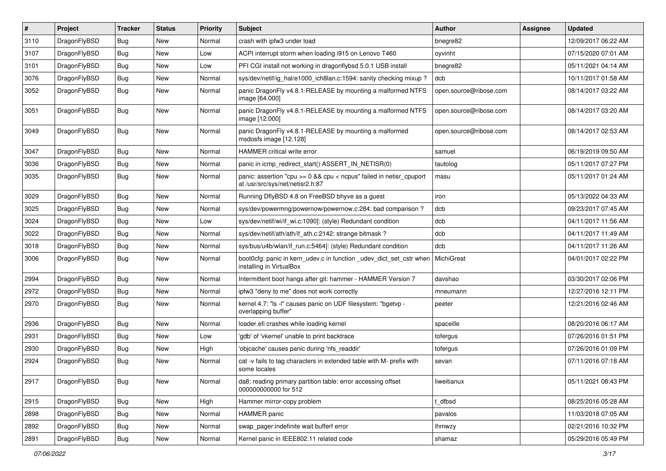| $\vert$ # | Project      | <b>Tracker</b> | <b>Status</b> | <b>Priority</b> | <b>Subject</b>                                                                                          | <b>Author</b>          | Assignee | <b>Updated</b>      |
|-----------|--------------|----------------|---------------|-----------------|---------------------------------------------------------------------------------------------------------|------------------------|----------|---------------------|
| 3110      | DragonFlyBSD | Bug            | <b>New</b>    | Normal          | crash with ipfw3 under load                                                                             | bnegre82               |          | 12/09/2017 06:22 AM |
| 3107      | DragonFlyBSD | <b>Bug</b>     | <b>New</b>    | Low             | ACPI interrupt storm when loading i915 on Lenovo T460                                                   | oyvinht                |          | 07/15/2020 07:01 AM |
| 3101      | DragonFlyBSD | Bug            | <b>New</b>    | Low             | PFI CGI install not working in dragonflybsd 5.0.1 USB install                                           | bnegre82               |          | 05/11/2021 04:14 AM |
| 3076      | DragonFlyBSD | Bug            | <b>New</b>    | Normal          | sys/dev/netif/ig_hal/e1000_ich8lan.c:1594: sanity checking mixup?                                       | dcb                    |          | 10/11/2017 01:58 AM |
| 3052      | DragonFlyBSD | Bug            | <b>New</b>    | Normal          | panic DragonFly v4.8.1-RELEASE by mounting a malformed NTFS<br>image [64.000]                           | open.source@ribose.com |          | 08/14/2017 03:22 AM |
| 3051      | DragonFlyBSD | Bug            | <b>New</b>    | Normal          | panic DragonFly v4.8.1-RELEASE by mounting a malformed NTFS<br>image [12.000]                           | open.source@ribose.com |          | 08/14/2017 03:20 AM |
| 3049      | DragonFlyBSD | Bug            | <b>New</b>    | Normal          | panic DragonFly v4.8.1-RELEASE by mounting a malformed<br>msdosfs image [12.128]                        | open.source@ribose.com |          | 08/14/2017 02:53 AM |
| 3047      | DragonFlyBSD | <b>Bug</b>     | <b>New</b>    | Normal          | HAMMER critical write error                                                                             | samuel                 |          | 06/19/2019 09:50 AM |
| 3036      | DragonFlyBSD | Bug            | <b>New</b>    | Normal          | panic in icmp_redirect_start() ASSERT_IN_NETISR(0)                                                      | tautolog               |          | 05/11/2017 07:27 PM |
| 3035      | DragonFlyBSD | Bug            | <b>New</b>    | Normal          | panic: assertion "cpu >= 0 && cpu < ncpus" failed in netisr_cpuport<br>at /usr/src/sys/net/netisr2.h:87 | masu                   |          | 05/11/2017 01:24 AM |
| 3029      | DragonFlyBSD | Bug            | <b>New</b>    | Normal          | Running DflyBSD 4.8 on FreeBSD bhyve as a guest                                                         | iron                   |          | 05/13/2022 04:33 AM |
| 3025      | DragonFlyBSD | Bug            | <b>New</b>    | Normal          | sys/dev/powermng/powernow/powernow.c:284: bad comparison ?                                              | dcb                    |          | 09/23/2017 07:45 AM |
| 3024      | DragonFlyBSD | <b>Bug</b>     | <b>New</b>    | Low             | sys/dev/netif/wi/if_wi.c:1090]: (style) Redundant condition                                             | dcb                    |          | 04/11/2017 11:56 AM |
| 3022      | DragonFlyBSD | <b>Bug</b>     | <b>New</b>    | Normal          | sys/dev/netif/ath/ath/if ath.c:2142: strange bitmask?                                                   | dcb                    |          | 04/11/2017 11:49 AM |
| 3018      | DragonFlyBSD | <b>Bug</b>     | <b>New</b>    | Normal          | sys/bus/u4b/wlan/if_run.c:5464]: (style) Redundant condition                                            | dcb                    |          | 04/11/2017 11:26 AM |
| 3006      | DragonFlyBSD | Bug            | New           | Normal          | boot0cfg: panic in kern_udev.c in function _udev_dict_set_cstr when<br>installing in VirtualBox         | MichiGreat             |          | 04/01/2017 02:22 PM |
| 2994      | DragonFlyBSD | <b>Bug</b>     | <b>New</b>    | Normal          | Intermittent boot hangs after git: hammer - HAMMER Version 7                                            | davshao                |          | 03/30/2017 02:06 PM |
| 2972      | DragonFlyBSD | Bug            | <b>New</b>    | Normal          | ipfw3 "deny to me" does not work correctly                                                              | mneumann               |          | 12/27/2016 12:11 PM |
| 2970      | DragonFlyBSD | Bug            | New           | Normal          | kernel 4.7: "Is -I" causes panic on UDF filesystem: "bgetvp -<br>overlapping buffer"                    | peeter                 |          | 12/21/2016 02:46 AM |
| 2936      | DragonFlyBSD | Bug            | <b>New</b>    | Normal          | loader.efi crashes while loading kernel                                                                 | spaceille              |          | 08/20/2016 06:17 AM |
| 2931      | DragonFlyBSD | <b>Bug</b>     | <b>New</b>    | Low             | 'gdb' of 'vkernel' unable to print backtrace                                                            | tofergus               |          | 07/26/2016 01:51 PM |
| 2930      | DragonFlyBSD | Bug            | <b>New</b>    | High            | 'objcache' causes panic during 'nfs_readdir'                                                            | tofergus               |          | 07/26/2016 01:09 PM |
| 2924      | DragonFlyBSD | Bug            | <b>New</b>    | Normal          | cat -v fails to tag characters in extended table with M- prefix with<br>some locales                    | sevan                  |          | 07/11/2016 07:18 AM |
| 2917      | DragonFlyBSD | Bug            | New           | Normal          | da8: reading primary partition table: error accessing offset<br>000000000000 for 512                    | liweitianux            |          | 05/11/2021 08:43 PM |
| 2915      | DragonFlyBSD | <b>Bug</b>     | New           | High            | Hammer mirror-copy problem                                                                              | t_dfbsd                |          | 08/25/2016 05:28 AM |
| 2898      | DragonFlyBSD | Bug            | <b>New</b>    | Normal          | HAMMER panic                                                                                            | pavalos                |          | 11/03/2018 07:05 AM |
| 2892      | DragonFlyBSD | <b>Bug</b>     | New           | Normal          | swap_pager:indefinite wait bufferf error                                                                | <b>Ihmwzy</b>          |          | 02/21/2016 10:32 PM |
| 2891      | DragonFlyBSD | <b>Bug</b>     | New           | Normal          | Kernel panic in IEEE802.11 related code                                                                 | shamaz                 |          | 05/29/2016 05:49 PM |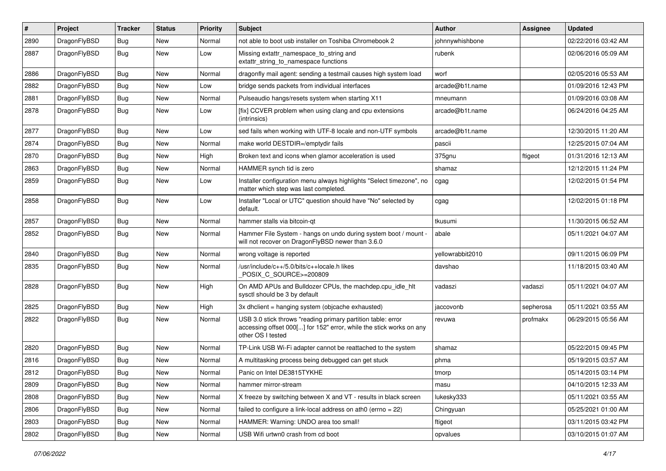| $\sharp$ | Project      | <b>Tracker</b> | <b>Status</b> | <b>Priority</b> | Subject                                                                                                                                                  | <b>Author</b>    | Assignee  | <b>Updated</b>      |
|----------|--------------|----------------|---------------|-----------------|----------------------------------------------------------------------------------------------------------------------------------------------------------|------------------|-----------|---------------------|
| 2890     | DragonFlyBSD | <b>Bug</b>     | New           | Normal          | not able to boot usb installer on Toshiba Chromebook 2                                                                                                   | johnnywhishbone  |           | 02/22/2016 03:42 AM |
| 2887     | DragonFlyBSD | Bug            | New           | Low             | Missing extattr_namespace_to_string and<br>extattr string to namespace functions                                                                         | rubenk           |           | 02/06/2016 05:09 AM |
| 2886     | DragonFlyBSD | Bug            | New           | Normal          | dragonfly mail agent: sending a testmail causes high system load                                                                                         | worf             |           | 02/05/2016 05:53 AM |
| 2882     | DragonFlyBSD | Bug            | <b>New</b>    | Low             | bridge sends packets from individual interfaces                                                                                                          | arcade@b1t.name  |           | 01/09/2016 12:43 PM |
| 2881     | DragonFlyBSD | <b>Bug</b>     | New           | Normal          | Pulseaudio hangs/resets system when starting X11                                                                                                         | mneumann         |           | 01/09/2016 03:08 AM |
| 2878     | DragonFlyBSD | <b>Bug</b>     | New           | Low             | [fix] CCVER problem when using clang and cpu extensions<br>(intrinsics)                                                                                  | arcade@b1t.name  |           | 06/24/2016 04:25 AM |
| 2877     | DragonFlyBSD | Bug            | <b>New</b>    | Low             | sed fails when working with UTF-8 locale and non-UTF symbols                                                                                             | arcade@b1t.name  |           | 12/30/2015 11:20 AM |
| 2874     | DragonFlyBSD | Bug            | New           | Normal          | make world DESTDIR=/emptydir fails                                                                                                                       | pascii           |           | 12/25/2015 07:04 AM |
| 2870     | DragonFlyBSD | <b>Bug</b>     | <b>New</b>    | High            | Broken text and icons when glamor acceleration is used                                                                                                   | 375gnu           | ftigeot   | 01/31/2016 12:13 AM |
| 2863     | DragonFlyBSD | <b>Bug</b>     | <b>New</b>    | Normal          | HAMMER synch tid is zero                                                                                                                                 | shamaz           |           | 12/12/2015 11:24 PM |
| 2859     | DragonFlyBSD | Bug            | New           | Low             | Installer configuration menu always highlights "Select timezone", no<br>matter which step was last completed.                                            | cgag             |           | 12/02/2015 01:54 PM |
| 2858     | DragonFlyBSD | Bug            | New           | Low             | Installer "Local or UTC" question should have "No" selected by<br>default.                                                                               | cgag             |           | 12/02/2015 01:18 PM |
| 2857     | DragonFlyBSD | Bug            | New           | Normal          | hammer stalls via bitcoin-qt                                                                                                                             | tkusumi          |           | 11/30/2015 06:52 AM |
| 2852     | DragonFlyBSD | Bug            | New           | Normal          | Hammer File System - hangs on undo during system boot / mount -<br>will not recover on DragonFlyBSD newer than 3.6.0                                     | abale            |           | 05/11/2021 04:07 AM |
| 2840     | DragonFlyBSD | <b>Bug</b>     | <b>New</b>    | Normal          | wrong voltage is reported                                                                                                                                | yellowrabbit2010 |           | 09/11/2015 06:09 PM |
| 2835     | DragonFlyBSD | Bug            | New           | Normal          | /usr/include/c++/5.0/bits/c++locale.h likes<br>POSIX_C_SOURCE>=200809                                                                                    | davshao          |           | 11/18/2015 03:40 AM |
| 2828     | DragonFlyBSD | Bug            | <b>New</b>    | High            | On AMD APUs and Bulldozer CPUs, the machdep.cpu_idle_hlt<br>sysctl should be 3 by default                                                                | vadaszi          | vadaszi   | 05/11/2021 04:07 AM |
| 2825     | DragonFlyBSD | Bug            | New           | High            | 3x dhclient = hanging system (objcache exhausted)                                                                                                        | jaccovonb        | sepherosa | 05/11/2021 03:55 AM |
| 2822     | DragonFlyBSD | <b>Bug</b>     | New           | Normal          | USB 3.0 stick throws "reading primary partition table: error<br>accessing offset 000[] for 152" error, while the stick works on any<br>other OS I tested | revuwa           | profmakx  | 06/29/2015 05:56 AM |
| 2820     | DragonFlyBSD | Bug            | <b>New</b>    | Normal          | TP-Link USB Wi-Fi adapter cannot be reattached to the system                                                                                             | shamaz           |           | 05/22/2015 09:45 PM |
| 2816     | DragonFlyBSD | Bug            | <b>New</b>    | Normal          | A multitasking process being debugged can get stuck                                                                                                      | phma             |           | 05/19/2015 03:57 AM |
| 2812     | DragonFlyBSD | <b>Bug</b>     | <b>New</b>    | Normal          | Panic on Intel DE3815TYKHE                                                                                                                               | tmorp            |           | 05/14/2015 03:14 PM |
| 2809     | DragonFlyBSD | Bug            | <b>New</b>    | Normal          | hammer mirror-stream                                                                                                                                     | masu             |           | 04/10/2015 12:33 AM |
| 2808     | DragonFlyBSD | Bug            | New           | Normal          | X freeze by switching between X and VT - results in black screen                                                                                         | lukesky333       |           | 05/11/2021 03:55 AM |
| 2806     | DragonFlyBSD | <b>Bug</b>     | <b>New</b>    | Normal          | failed to configure a link-local address on ath0 (errno = 22)                                                                                            | Chingyuan        |           | 05/25/2021 01:00 AM |
| 2803     | DragonFlyBSD | <b>Bug</b>     | New           | Normal          | HAMMER: Warning: UNDO area too small!                                                                                                                    | ftigeot          |           | 03/11/2015 03:42 PM |
| 2802     | DragonFlyBSD | <b>Bug</b>     | New           | Normal          | USB Wifi urtwn0 crash from cd boot                                                                                                                       | opvalues         |           | 03/10/2015 01:07 AM |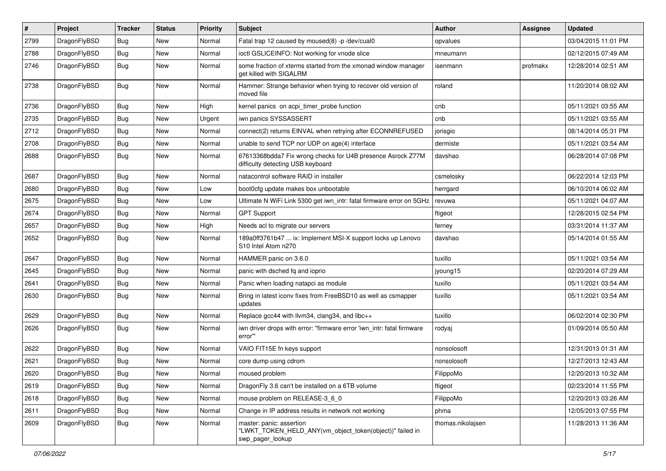| #    | Project      | <b>Tracker</b> | <b>Status</b> | <b>Priority</b> | Subject                                                                                                  | <b>Author</b>     | Assignee | <b>Updated</b>      |
|------|--------------|----------------|---------------|-----------------|----------------------------------------------------------------------------------------------------------|-------------------|----------|---------------------|
| 2799 | DragonFlyBSD | <b>Bug</b>     | <b>New</b>    | Normal          | Fatal trap 12 caused by moused(8) -p /dev/cual0                                                          | opvalues          |          | 03/04/2015 11:01 PM |
| 2788 | DragonFlyBSD | <b>Bug</b>     | New           | Normal          | ioctl GSLICEINFO: Not working for vnode slice                                                            | mneumann          |          | 02/12/2015 07:49 AM |
| 2746 | DragonFlyBSD | Bug            | New           | Normal          | some fraction of xterms started from the xmonad window manager<br>get killed with SIGALRM                | isenmann          | profmakx | 12/28/2014 02:51 AM |
| 2738 | DragonFlyBSD | <b>Bug</b>     | New           | Normal          | Hammer: Strange behavior when trying to recover old version of<br>moved file                             | roland            |          | 11/20/2014 08:02 AM |
| 2736 | DragonFlyBSD | Bug            | <b>New</b>    | High            | kernel panics on acpi_timer_probe function                                                               | cnb               |          | 05/11/2021 03:55 AM |
| 2735 | DragonFlyBSD | <b>Bug</b>     | New           | Urgent          | iwn panics SYSSASSERT                                                                                    | cnb               |          | 05/11/2021 03:55 AM |
| 2712 | DragonFlyBSD | <b>Bug</b>     | New           | Normal          | connect(2) returns EINVAL when retrying after ECONNREFUSED                                               | jorisgio          |          | 08/14/2014 05:31 PM |
| 2708 | DragonFlyBSD | Bug            | New           | Normal          | unable to send TCP nor UDP on age(4) interface                                                           | dermiste          |          | 05/11/2021 03:54 AM |
| 2688 | DragonFlyBSD | <b>Bug</b>     | New           | Normal          | 67613368bdda7 Fix wrong checks for U4B presence Asrock Z77M<br>difficulty detecting USB keyboard         | davshao           |          | 06/28/2014 07:08 PM |
| 2687 | DragonFlyBSD | Bug            | <b>New</b>    | Normal          | natacontrol software RAID in installer                                                                   | csmelosky         |          | 06/22/2014 12:03 PM |
| 2680 | DragonFlyBSD | Bug            | <b>New</b>    | Low             | boot0cfg update makes box unbootable                                                                     | herrgard          |          | 06/10/2014 06:02 AM |
| 2675 | DragonFlyBSD | Bug            | New           | Low             | Ultimate N WiFi Link 5300 get iwn_intr: fatal firmware error on 5GHz                                     | revuwa            |          | 05/11/2021 04:07 AM |
| 2674 | DragonFlyBSD | Bug            | <b>New</b>    | Normal          | <b>GPT Support</b>                                                                                       | ftigeot           |          | 12/28/2015 02:54 PM |
| 2657 | DragonFlyBSD | Bug            | New           | High            | Needs acl to migrate our servers                                                                         | ferney            |          | 03/31/2014 11:37 AM |
| 2652 | DragonFlyBSD | <b>Bug</b>     | New           | Normal          | 189a0ff3761b47  ix: Implement MSI-X support locks up Lenovo<br>S10 Intel Atom n270                       | davshao           |          | 05/14/2014 01:55 AM |
| 2647 | DragonFlyBSD | Bug            | <b>New</b>    | Normal          | HAMMER panic on 3.6.0                                                                                    | tuxillo           |          | 05/11/2021 03:54 AM |
| 2645 | DragonFlyBSD | Bug            | <b>New</b>    | Normal          | panic with dsched fq and ioprio                                                                          | jyoung15          |          | 02/20/2014 07:29 AM |
| 2641 | DragonFlyBSD | Bug            | <b>New</b>    | Normal          | Panic when loading natapci as module                                                                     | tuxillo           |          | 05/11/2021 03:54 AM |
| 2630 | DragonFlyBSD | Bug            | New           | Normal          | Bring in latest iconv fixes from FreeBSD10 as well as csmapper<br>updates                                | tuxillo           |          | 05/11/2021 03:54 AM |
| 2629 | DragonFlyBSD | Bug            | New           | Normal          | Replace gcc44 with llvm34, clang34, and libc++                                                           | tuxillo           |          | 06/02/2014 02:30 PM |
| 2626 | DragonFlyBSD | Bug            | New           | Normal          | iwn driver drops with error: "firmware error 'iwn_intr: fatal firmware<br>error"                         | rodyaj            |          | 01/09/2014 05:50 AM |
| 2622 | DragonFlyBSD | Bug            | <b>New</b>    | Normal          | VAIO FIT15E fn keys support                                                                              | nonsolosoft       |          | 12/31/2013 01:31 AM |
| 2621 | DragonFlyBSD | Bug            | New           | Normal          | core dump using cdrom                                                                                    | nonsolosoft       |          | 12/27/2013 12:43 AM |
| 2620 | DragonFlyBSD | Bug            | <b>New</b>    | Normal          | moused problem                                                                                           | FilippoMo         |          | 12/20/2013 10:32 AM |
| 2619 | DragonFlyBSD | <b>Bug</b>     | New           | Normal          | DragonFly 3.6 can't be installed on a 6TB volume                                                         | ftigeot           |          | 02/23/2014 11:55 PM |
| 2618 | DragonFlyBSD | <b>Bug</b>     | New           | Normal          | mouse problem on RELEASE-3_6_0                                                                           | FilippoMo         |          | 12/20/2013 03:26 AM |
| 2611 | DragonFlyBSD | <b>Bug</b>     | New           | Normal          | Change in IP address results in network not working                                                      | phma              |          | 12/05/2013 07:55 PM |
| 2609 | DragonFlyBSD | <b>Bug</b>     | New           | Normal          | master: panic: assertion<br>"LWKT_TOKEN_HELD_ANY(vm_object_token(object))" failed in<br>swp_pager_lookup | thomas.nikolajsen |          | 11/28/2013 11:36 AM |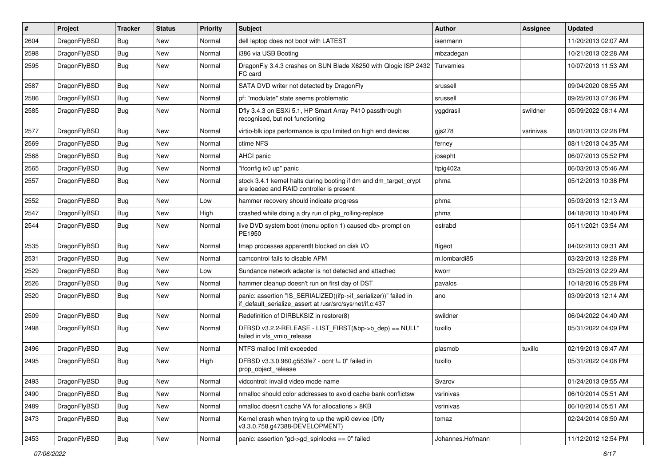| $\sharp$ | Project      | <b>Tracker</b> | <b>Status</b> | <b>Priority</b> | Subject                                                                                                                      | <b>Author</b>    | Assignee  | Updated             |
|----------|--------------|----------------|---------------|-----------------|------------------------------------------------------------------------------------------------------------------------------|------------------|-----------|---------------------|
| 2604     | DragonFlyBSD | Bug            | <b>New</b>    | Normal          | dell laptop does not boot with LATEST                                                                                        | isenmann         |           | 11/20/2013 02:07 AM |
| 2598     | DragonFlyBSD | <b>Bug</b>     | <b>New</b>    | Normal          | i386 via USB Booting                                                                                                         | mbzadegan        |           | 10/21/2013 02:28 AM |
| 2595     | DragonFlyBSD | Bug            | New           | Normal          | DragonFly 3.4.3 crashes on SUN Blade X6250 with Qlogic ISP 2432<br>FC card                                                   | Turvamies        |           | 10/07/2013 11:53 AM |
| 2587     | DragonFlyBSD | Bug            | <b>New</b>    | Normal          | SATA DVD writer not detected by DragonFly                                                                                    | srussell         |           | 09/04/2020 08:55 AM |
| 2586     | DragonFlyBSD | Bug            | <b>New</b>    | Normal          | pf: "modulate" state seems problematic                                                                                       | srussell         |           | 09/25/2013 07:36 PM |
| 2585     | DragonFlyBSD | Bug            | New           | Normal          | Dfly 3.4.3 on ESXi 5.1, HP Smart Array P410 passthrough<br>recognised, but not functioning                                   | yggdrasil        | swildner  | 05/09/2022 08:14 AM |
| 2577     | DragonFlyBSD | Bug            | <b>New</b>    | Normal          | virtio-blk iops performance is cpu limited on high end devices                                                               | gjs278           | vsrinivas | 08/01/2013 02:28 PM |
| 2569     | DragonFlyBSD | Bug            | <b>New</b>    | Normal          | ctime NFS                                                                                                                    | ferney           |           | 08/11/2013 04:35 AM |
| 2568     | DragonFlyBSD | Bug            | New           | Normal          | AHCI panic                                                                                                                   | josepht          |           | 06/07/2013 05:52 PM |
| 2565     | DragonFlyBSD | Bug            | <b>New</b>    | Normal          | "ifconfig ix0 up" panic                                                                                                      | Itpig402a        |           | 06/03/2013 05:46 AM |
| 2557     | DragonFlyBSD | Bug            | <b>New</b>    | Normal          | stock 3.4.1 kernel halts during booting if dm and dm_target_crypt<br>are loaded and RAID controller is present               | phma             |           | 05/12/2013 10:38 PM |
| 2552     | DragonFlyBSD | Bug            | <b>New</b>    | Low             | hammer recovery should indicate progress                                                                                     | phma             |           | 05/03/2013 12:13 AM |
| 2547     | DragonFlyBSD | Bug            | New           | High            | crashed while doing a dry run of pkg_rolling-replace                                                                         | phma             |           | 04/18/2013 10:40 PM |
| 2544     | DragonFlyBSD | Bug            | New           | Normal          | live DVD system boot (menu option 1) caused db> prompt on<br>PE1950                                                          | estrabd          |           | 05/11/2021 03:54 AM |
| 2535     | DragonFlyBSD | Bug            | <b>New</b>    | Normal          | Imap processes apparentlt blocked on disk I/O                                                                                | ftigeot          |           | 04/02/2013 09:31 AM |
| 2531     | DragonFlyBSD | Bug            | <b>New</b>    | Normal          | camcontrol fails to disable APM                                                                                              | m.lombardi85     |           | 03/23/2013 12:28 PM |
| 2529     | DragonFlyBSD | Bug            | <b>New</b>    | Low             | Sundance network adapter is not detected and attached                                                                        | kworr            |           | 03/25/2013 02:29 AM |
| 2526     | DragonFlyBSD | Bug            | New           | Normal          | hammer cleanup doesn't run on first day of DST                                                                               | pavalos          |           | 10/18/2016 05:28 PM |
| 2520     | DragonFlyBSD | Bug            | New           | Normal          | panic: assertion "IS_SERIALIZED((ifp->if_serializer))" failed in<br>if_default_serialize_assert at /usr/src/sys/net/if.c:437 | ano              |           | 03/09/2013 12:14 AM |
| 2509     | DragonFlyBSD | <b>Bug</b>     | <b>New</b>    | Normal          | Redefinition of DIRBLKSIZ in restore(8)                                                                                      | swildner         |           | 06/04/2022 04:40 AM |
| 2498     | DragonFlyBSD | Bug            | New           | Normal          | DFBSD v3.2.2-RELEASE - LIST_FIRST(&bp->b_dep) == NULL"<br>failed in vfs_vmio_release                                         | tuxillo          |           | 05/31/2022 04:09 PM |
| 2496     | DragonFlyBSD | <b>Bug</b>     | <b>New</b>    | Normal          | NTFS malloc limit exceeded                                                                                                   | plasmob          | tuxillo   | 02/19/2013 08:47 AM |
| 2495     | DragonFlyBSD | Bug            | New           | High            | DFBSD v3.3.0.960.g553fe7 - ocnt != 0" failed in<br>prop_object_release                                                       | tuxillo          |           | 05/31/2022 04:08 PM |
| 2493     | DragonFlyBSD | <b>Bug</b>     | New           | Normal          | vidcontrol: invalid video mode name                                                                                          | Svarov           |           | 01/24/2013 09:55 AM |
| 2490     | DragonFlyBSD | Bug            | New           | Normal          | nmalloc should color addresses to avoid cache bank conflictsw                                                                | vsrinivas        |           | 06/10/2014 05:51 AM |
| 2489     | DragonFlyBSD | Bug            | <b>New</b>    | Normal          | nmalloc doesn't cache VA for allocations > 8KB                                                                               | vsrinivas        |           | 06/10/2014 05:51 AM |
| 2473     | DragonFlyBSD | Bug            | New           | Normal          | Kernel crash when trying to up the wpi0 device (Dfly<br>v3.3.0.758.g47388-DEVELOPMENT)                                       | tomaz            |           | 02/24/2014 08:50 AM |
| 2453     | DragonFlyBSD | <b>Bug</b>     | New           | Normal          | panic: assertion "gd->gd_spinlocks == $0$ " failed                                                                           | Johannes.Hofmann |           | 11/12/2012 12:54 PM |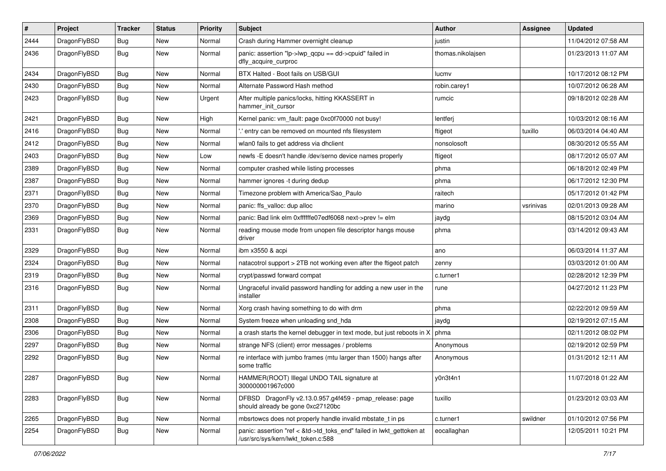| $\pmb{\#}$ | Project      | <b>Tracker</b> | <b>Status</b> | <b>Priority</b> | <b>Subject</b>                                                                                             | <b>Author</b>     | Assignee  | <b>Updated</b>      |
|------------|--------------|----------------|---------------|-----------------|------------------------------------------------------------------------------------------------------------|-------------------|-----------|---------------------|
| 2444       | DragonFlyBSD | Bug            | New           | Normal          | Crash during Hammer overnight cleanup                                                                      | justin            |           | 11/04/2012 07:58 AM |
| 2436       | DragonFlyBSD | Bug            | <b>New</b>    | Normal          | panic: assertion "lp->lwp_qcpu == dd->cpuid" failed in<br>dfly_acquire_curproc                             | thomas.nikolajsen |           | 01/23/2013 11:07 AM |
| 2434       | DragonFlyBSD | Bug            | New           | Normal          | BTX Halted - Boot fails on USB/GUI                                                                         | lucmv             |           | 10/17/2012 08:12 PM |
| 2430       | DragonFlyBSD | <b>Bug</b>     | <b>New</b>    | Normal          | Alternate Password Hash method                                                                             | robin.carey1      |           | 10/07/2012 06:28 AM |
| 2423       | DragonFlyBSD | Bug            | <b>New</b>    | Urgent          | After multiple panics/locks, hitting KKASSERT in<br>hammer_init_cursor                                     | rumcic            |           | 09/18/2012 02:28 AM |
| 2421       | DragonFlyBSD | <b>Bug</b>     | <b>New</b>    | High            | Kernel panic: vm_fault: page 0xc0f70000 not busy!                                                          | lentferj          |           | 10/03/2012 08:16 AM |
| 2416       | DragonFlyBSD | Bug            | <b>New</b>    | Normal          | .' entry can be removed on mounted nfs filesystem                                                          | ftigeot           | tuxillo   | 06/03/2014 04:40 AM |
| 2412       | DragonFlyBSD | Bug            | <b>New</b>    | Normal          | wlan0 fails to get address via dhclient                                                                    | nonsolosoft       |           | 08/30/2012 05:55 AM |
| 2403       | DragonFlyBSD | Bug            | New           | Low             | newfs -E doesn't handle /dev/serno device names properly                                                   | ftigeot           |           | 08/17/2012 05:07 AM |
| 2389       | DragonFlyBSD | Bug            | <b>New</b>    | Normal          | computer crashed while listing processes                                                                   | phma              |           | 06/18/2012 02:49 PM |
| 2387       | DragonFlyBSD | Bug            | <b>New</b>    | Normal          | hammer ignores -t during dedup                                                                             | phma              |           | 06/17/2012 12:30 PM |
| 2371       | DragonFlyBSD | <b>Bug</b>     | New           | Normal          | Timezone problem with America/Sao_Paulo                                                                    | raitech           |           | 05/17/2012 01:42 PM |
| 2370       | DragonFlyBSD | Bug            | <b>New</b>    | Normal          | panic: ffs_valloc: dup alloc                                                                               | marino            | vsrinivas | 02/01/2013 09:28 AM |
| 2369       | DragonFlyBSD | Bug            | <b>New</b>    | Normal          | panic: Bad link elm 0xffffffe07edf6068 next->prev != elm                                                   | jaydg             |           | 08/15/2012 03:04 AM |
| 2331       | DragonFlyBSD | Bug            | <b>New</b>    | Normal          | reading mouse mode from unopen file descriptor hangs mouse<br>driver                                       | phma              |           | 03/14/2012 09:43 AM |
| 2329       | DragonFlyBSD | <b>Bug</b>     | <b>New</b>    | Normal          | ibm x3550 & acpi                                                                                           | ano               |           | 06/03/2014 11:37 AM |
| 2324       | DragonFlyBSD | Bug            | New           | Normal          | natacotrol support > 2TB not working even after the ftigeot patch                                          | zenny             |           | 03/03/2012 01:00 AM |
| 2319       | DragonFlyBSD | Bug            | New           | Normal          | crypt/passwd forward compat                                                                                | c.turner1         |           | 02/28/2012 12:39 PM |
| 2316       | DragonFlyBSD | Bug            | New           | Normal          | Ungraceful invalid password handling for adding a new user in the<br>installer                             | rune              |           | 04/27/2012 11:23 PM |
| 2311       | DragonFlyBSD | <b>Bug</b>     | <b>New</b>    | Normal          | Xorg crash having something to do with drm                                                                 | phma              |           | 02/22/2012 09:59 AM |
| 2308       | DragonFlyBSD | Bug            | New           | Normal          | System freeze when unloading snd_hda                                                                       | jaydg             |           | 02/19/2012 07:15 AM |
| 2306       | DragonFlyBSD | <b>Bug</b>     | <b>New</b>    | Normal          | a crash starts the kernel debugger in text mode, but just reboots in X                                     | phma              |           | 02/11/2012 08:02 PM |
| 2297       | DragonFlyBSD | <b>Bug</b>     | New           | Normal          | strange NFS (client) error messages / problems                                                             | Anonymous         |           | 02/19/2012 02:59 PM |
| 2292       | DragonFlyBSD | Bug            | New           | Normal          | re interface with jumbo frames (mtu larger than 1500) hangs after<br>some traffic                          | Anonymous         |           | 01/31/2012 12:11 AM |
| 2287       | DragonFlyBSD | <b>Bug</b>     | New           | Normal          | HAMMER(ROOT) Illegal UNDO TAIL signature at<br>300000001967c000                                            | y0n3t4n1          |           | 11/07/2018 01:22 AM |
| 2283       | DragonFlyBSD | <b>Bug</b>     | New           | Normal          | DFBSD DragonFly v2.13.0.957.g4f459 - pmap_release: page<br>should already be gone 0xc27120bc               | tuxillo           |           | 01/23/2012 03:03 AM |
| 2265       | DragonFlyBSD | Bug            | New           | Normal          | mbsrtowcs does not properly handle invalid mbstate_t in ps                                                 | c.turner1         | swildner  | 01/10/2012 07:56 PM |
| 2254       | DragonFlyBSD | Bug            | New           | Normal          | panic: assertion "ref < &td->td toks end" failed in lwkt gettoken at<br>/usr/src/sys/kern/lwkt_token.c:588 | eocallaghan       |           | 12/05/2011 10:21 PM |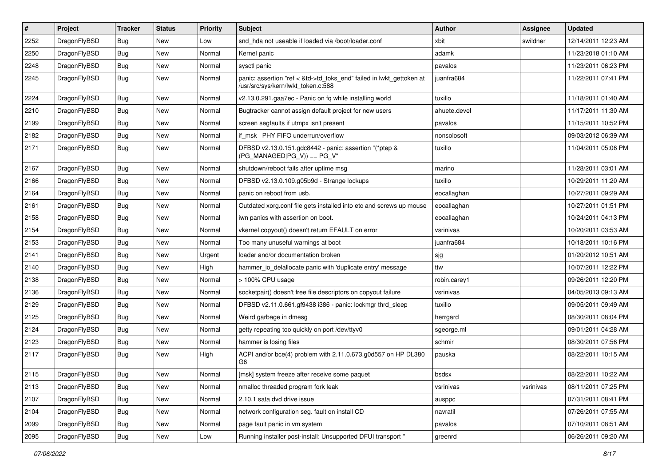| $\vert$ # | Project      | <b>Tracker</b> | <b>Status</b> | <b>Priority</b> | <b>Subject</b>                                                                                             | Author       | Assignee  | <b>Updated</b>      |
|-----------|--------------|----------------|---------------|-----------------|------------------------------------------------------------------------------------------------------------|--------------|-----------|---------------------|
| 2252      | DragonFlyBSD | <b>Bug</b>     | <b>New</b>    | Low             | snd hda not useable if loaded via /boot/loader.conf                                                        | xbit         | swildner  | 12/14/2011 12:23 AM |
| 2250      | DragonFlyBSD | Bug            | <b>New</b>    | Normal          | Kernel panic                                                                                               | adamk        |           | 11/23/2018 01:10 AM |
| 2248      | DragonFlyBSD | <b>Bug</b>     | <b>New</b>    | Normal          | sysctl panic                                                                                               | pavalos      |           | 11/23/2011 06:23 PM |
| 2245      | DragonFlyBSD | Bug            | New           | Normal          | panic: assertion "ref < &td->td_toks_end" failed in lwkt_gettoken at<br>/usr/src/sys/kern/lwkt_token.c:588 | juanfra684   |           | 11/22/2011 07:41 PM |
| 2224      | DragonFlyBSD | <b>Bug</b>     | New           | Normal          | v2.13.0.291.gaa7ec - Panic on fq while installing world                                                    | tuxillo      |           | 11/18/2011 01:40 AM |
| 2210      | DragonFlyBSD | Bug            | <b>New</b>    | Normal          | Bugtracker cannot assign default project for new users                                                     | ahuete.devel |           | 11/17/2011 11:30 AM |
| 2199      | DragonFlyBSD | <b>Bug</b>     | New           | Normal          | screen segfaults if utmpx isn't present                                                                    | pavalos      |           | 11/15/2011 10:52 PM |
| 2182      | DragonFlyBSD | Bug            | <b>New</b>    | Normal          | if msk PHY FIFO underrun/overflow                                                                          | nonsolosoft  |           | 09/03/2012 06:39 AM |
| 2171      | DragonFlyBSD | Bug            | New           | Normal          | DFBSD v2.13.0.151.gdc8442 - panic: assertion "(*ptep &<br>$(PG_MANAGED PG_V)$ == PG_V"                     | tuxillo      |           | 11/04/2011 05:06 PM |
| 2167      | DragonFlyBSD | Bug            | <b>New</b>    | Normal          | shutdown/reboot fails after uptime msg                                                                     | marino       |           | 11/28/2011 03:01 AM |
| 2166      | DragonFlyBSD | <b>Bug</b>     | <b>New</b>    | Normal          | DFBSD v2.13.0.109.g05b9d - Strange lockups                                                                 | tuxillo      |           | 10/29/2011 11:20 AM |
| 2164      | DragonFlyBSD | <b>Bug</b>     | <b>New</b>    | Normal          | panic on reboot from usb.                                                                                  | eocallaghan  |           | 10/27/2011 09:29 AM |
| 2161      | DragonFlyBSD | Bug            | <b>New</b>    | Normal          | Outdated xorg.conf file gets installed into etc and screws up mouse                                        | eocallaghan  |           | 10/27/2011 01:51 PM |
| 2158      | DragonFlyBSD | <b>Bug</b>     | New           | Normal          | iwn panics with assertion on boot.                                                                         | eocallaghan  |           | 10/24/2011 04:13 PM |
| 2154      | DragonFlyBSD | Bug            | <b>New</b>    | Normal          | vkernel copyout() doesn't return EFAULT on error                                                           | vsrinivas    |           | 10/20/2011 03:53 AM |
| 2153      | DragonFlyBSD | <b>Bug</b>     | <b>New</b>    | Normal          | Too many unuseful warnings at boot                                                                         | juanfra684   |           | 10/18/2011 10:16 PM |
| 2141      | DragonFlyBSD | <b>Bug</b>     | <b>New</b>    | Urgent          | loader and/or documentation broken                                                                         | sjg          |           | 01/20/2012 10:51 AM |
| 2140      | DragonFlyBSD | Bug            | <b>New</b>    | High            | hammer_io_delallocate panic with 'duplicate entry' message                                                 | ttw          |           | 10/07/2011 12:22 PM |
| 2138      | DragonFlyBSD | <b>Bug</b>     | <b>New</b>    | Normal          | > 100% CPU usage                                                                                           | robin.carey1 |           | 09/26/2011 12:20 PM |
| 2136      | DragonFlyBSD | Bug            | <b>New</b>    | Normal          | socketpair() doesn't free file descriptors on copyout failure                                              | vsrinivas    |           | 04/05/2013 09:13 AM |
| 2129      | DragonFlyBSD | <b>Bug</b>     | <b>New</b>    | Normal          | DFBSD v2.11.0.661.gf9438 i386 - panic: lockmgr thrd_sleep                                                  | tuxillo      |           | 09/05/2011 09:49 AM |
| 2125      | DragonFlyBSD | <b>Bug</b>     | <b>New</b>    | Normal          | Weird garbage in dmesg                                                                                     | herrgard     |           | 08/30/2011 08:04 PM |
| 2124      | DragonFlyBSD | Bug            | New           | Normal          | getty repeating too quickly on port /dev/ttyv0                                                             | sgeorge.ml   |           | 09/01/2011 04:28 AM |
| 2123      | DragonFlyBSD | <b>Bug</b>     | <b>New</b>    | Normal          | hammer is losing files                                                                                     | schmir       |           | 08/30/2011 07:56 PM |
| 2117      | DragonFlyBSD | Bug            | New           | High            | ACPI and/or bce(4) problem with 2.11.0.673.g0d557 on HP DL380<br>G6                                        | pauska       |           | 08/22/2011 10:15 AM |
| 2115      | DragonFlyBSD | Bug            | New           | Normal          | [msk] system freeze after receive some paquet                                                              | bsdsx        |           | 08/22/2011 10:22 AM |
| 2113      | DragonFlyBSD | Bug            | <b>New</b>    | Normal          | nmalloc threaded program fork leak                                                                         | vsrinivas    | vsrinivas | 08/11/2011 07:25 PM |
| 2107      | DragonFlyBSD | Bug            | New           | Normal          | 2.10.1 sata dvd drive issue                                                                                | ausppc       |           | 07/31/2011 08:41 PM |
| 2104      | DragonFlyBSD | Bug            | New           | Normal          | network configuration seg. fault on install CD                                                             | navratil     |           | 07/26/2011 07:55 AM |
| 2099      | DragonFlyBSD | Bug            | New           | Normal          | page fault panic in vm system                                                                              | pavalos      |           | 07/10/2011 08:51 AM |
| 2095      | DragonFlyBSD | Bug            | New           | Low             | Running installer post-install: Unsupported DFUI transport "                                               | greenrd      |           | 06/26/2011 09:20 AM |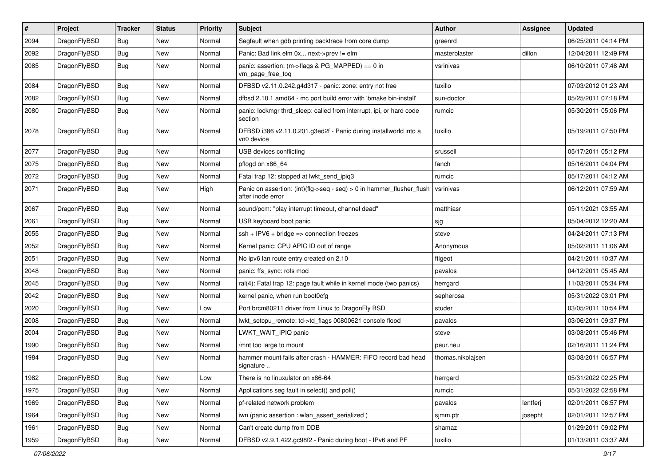| $\pmb{\#}$ | Project      | <b>Tracker</b> | <b>Status</b> | <b>Priority</b> | Subject                                                                                       | <b>Author</b>     | Assignee | <b>Updated</b>      |
|------------|--------------|----------------|---------------|-----------------|-----------------------------------------------------------------------------------------------|-------------------|----------|---------------------|
| 2094       | DragonFlyBSD | Bug            | New           | Normal          | Segfault when gdb printing backtrace from core dump                                           | greenrd           |          | 06/25/2011 04:14 PM |
| 2092       | DragonFlyBSD | Bug            | <b>New</b>    | Normal          | Panic: Bad link elm 0x next->prev != elm                                                      | masterblaster     | dillon   | 12/04/2011 12:49 PM |
| 2085       | DragonFlyBSD | Bug            | New           | Normal          | panic: assertion: (m->flags & PG_MAPPED) == 0 in<br>vm_page_free_toq                          | vsrinivas         |          | 06/10/2011 07:48 AM |
| 2084       | DragonFlyBSD | Bug            | <b>New</b>    | Normal          | DFBSD v2.11.0.242.g4d317 - panic: zone: entry not free                                        | tuxillo           |          | 07/03/2012 01:23 AM |
| 2082       | DragonFlyBSD | <b>Bug</b>     | New           | Normal          | dfbsd 2.10.1 amd64 - mc port build error with 'bmake bin-install'                             | sun-doctor        |          | 05/25/2011 07:18 PM |
| 2080       | DragonFlyBSD | Bug            | New           | Normal          | panic: lockmgr thrd_sleep: called from interrupt, ipi, or hard code<br>section                | rumcic            |          | 05/30/2011 05:06 PM |
| 2078       | DragonFlyBSD | Bug            | <b>New</b>    | Normal          | DFBSD i386 v2.11.0.201.g3ed2f - Panic during installworld into a<br>vn0 device                | tuxillo           |          | 05/19/2011 07:50 PM |
| 2077       | DragonFlyBSD | <b>Bug</b>     | <b>New</b>    | Normal          | USB devices conflicting                                                                       | srussell          |          | 05/17/2011 05:12 PM |
| 2075       | DragonFlyBSD | Bug            | <b>New</b>    | Normal          | pflogd on x86 64                                                                              | fanch             |          | 05/16/2011 04:04 PM |
| 2072       | DragonFlyBSD | Bug            | <b>New</b>    | Normal          | Fatal trap 12: stopped at lwkt_send_ipiq3                                                     | rumcic            |          | 05/17/2011 04:12 AM |
| 2071       | DragonFlyBSD | Bug            | New           | High            | Panic on assertion: $(int)(flag->seq - seq) > 0$ in hammer flusher flush<br>after inode error | vsrinivas         |          | 06/12/2011 07:59 AM |
| 2067       | DragonFlyBSD | <b>Bug</b>     | <b>New</b>    | Normal          | sound/pcm: "play interrupt timeout, channel dead"                                             | matthiasr         |          | 05/11/2021 03:55 AM |
| 2061       | DragonFlyBSD | Bug            | New           | Normal          | USB keyboard boot panic                                                                       | sjg               |          | 05/04/2012 12:20 AM |
| 2055       | DragonFlyBSD | Bug            | New           | Normal          | $ssh + IPV6 + bridge \Rightarrow connection freezes$                                          | steve             |          | 04/24/2011 07:13 PM |
| 2052       | DragonFlyBSD | Bug            | <b>New</b>    | Normal          | Kernel panic: CPU APIC ID out of range                                                        | Anonymous         |          | 05/02/2011 11:06 AM |
| 2051       | DragonFlyBSD | Bug            | New           | Normal          | No ipv6 lan route entry created on 2.10                                                       | ftigeot           |          | 04/21/2011 10:37 AM |
| 2048       | DragonFlyBSD | Bug            | <b>New</b>    | Normal          | panic: ffs sync: rofs mod                                                                     | pavalos           |          | 04/12/2011 05:45 AM |
| 2045       | DragonFlyBSD | <b>Bug</b>     | New           | Normal          | ral(4): Fatal trap 12: page fault while in kernel mode (two panics)                           | herrgard          |          | 11/03/2011 05:34 PM |
| 2042       | DragonFlyBSD | Bug            | New           | Normal          | kernel panic, when run boot0cfg                                                               | sepherosa         |          | 05/31/2022 03:01 PM |
| 2020       | DragonFlyBSD | Bug            | New           | Low             | Port brcm80211 driver from Linux to DragonFly BSD                                             | studer            |          | 03/05/2011 10:54 PM |
| 2008       | DragonFlyBSD | Bug            | New           | Normal          | lwkt_setcpu_remote: td->td_flags 00800621 console flood                                       | pavalos           |          | 03/06/2011 09:37 PM |
| 2004       | DragonFlyBSD | <b>Bug</b>     | <b>New</b>    | Normal          | LWKT WAIT IPIQ panic                                                                          | steve             |          | 03/08/2011 05:46 PM |
| 1990       | DragonFlyBSD | Bug            | New           | Normal          | /mnt too large to mount                                                                       | peur.neu          |          | 02/16/2011 11:24 PM |
| 1984       | DragonFlyBSD | Bug            | <b>New</b>    | Normal          | hammer mount fails after crash - HAMMER: FIFO record bad head<br>signature                    | thomas.nikolajsen |          | 03/08/2011 06:57 PM |
| 1982       | DragonFlyBSD | <b>Bug</b>     | New           | Low             | There is no linuxulator on x86-64                                                             | herrgard          |          | 05/31/2022 02:25 PM |
| 1975       | DragonFlyBSD | Bug            | New           | Normal          | Applications seg fault in select() and poll()                                                 | rumcic            |          | 05/31/2022 02:58 PM |
| 1969       | DragonFlyBSD | <b>Bug</b>     | New           | Normal          | pf-related network problem                                                                    | pavalos           | lentferj | 02/01/2011 06:57 PM |
| 1964       | DragonFlyBSD | Bug            | New           | Normal          | iwn (panic assertion : wlan_assert_serialized)                                                | sjmm.ptr          | josepht  | 02/01/2011 12:57 PM |
| 1961       | DragonFlyBSD | <b>Bug</b>     | New           | Normal          | Can't create dump from DDB                                                                    | shamaz            |          | 01/29/2011 09:02 PM |
| 1959       | DragonFlyBSD | Bug            | New           | Normal          | DFBSD v2.9.1.422.gc98f2 - Panic during boot - IPv6 and PF                                     | tuxillo           |          | 01/13/2011 03:37 AM |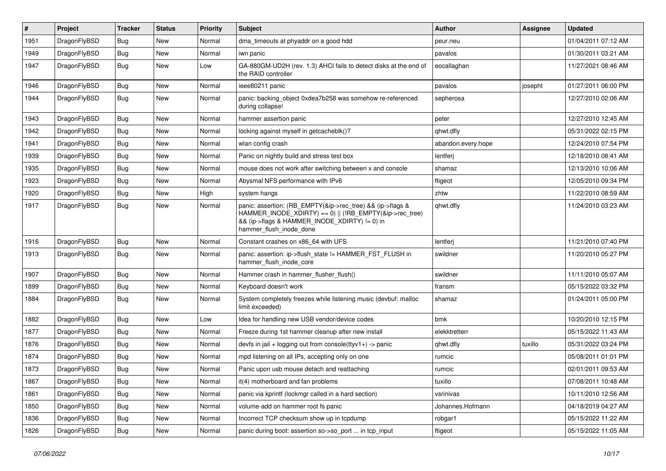| #    | Project      | <b>Tracker</b> | <b>Status</b> | <b>Priority</b> | <b>Subject</b>                                                                                                                                                                                    | <b>Author</b>      | Assignee | <b>Updated</b>      |
|------|--------------|----------------|---------------|-----------------|---------------------------------------------------------------------------------------------------------------------------------------------------------------------------------------------------|--------------------|----------|---------------------|
| 1951 | DragonFlyBSD | Bug            | <b>New</b>    | Normal          | dma_timeouts at phyaddr on a good hdd                                                                                                                                                             | peur.neu           |          | 01/04/2011 07:12 AM |
| 1949 | DragonFlyBSD | Bug            | <b>New</b>    | Normal          | iwn panic                                                                                                                                                                                         | pavalos            |          | 01/30/2011 03:21 AM |
| 1947 | DragonFlyBSD | Bug            | New           | Low             | GA-880GM-UD2H (rev. 1.3) AHCI fails to detect disks at the end of<br>the RAID controller                                                                                                          | eocallaghan        |          | 11/27/2021 08:46 AM |
| 1946 | DragonFlyBSD | Bug            | New           | Normal          | ieee80211 panic                                                                                                                                                                                   | pavalos            | josepht  | 01/27/2011 06:00 PM |
| 1944 | DragonFlyBSD | Bug            | <b>New</b>    | Normal          | panic: backing object 0xdea7b258 was somehow re-referenced<br>during collapse!                                                                                                                    | sepherosa          |          | 12/27/2010 02:06 AM |
| 1943 | DragonFlyBSD | Bug            | New           | Normal          | hammer assertion panic                                                                                                                                                                            | peter              |          | 12/27/2010 12:45 AM |
| 1942 | DragonFlyBSD | Bug            | New           | Normal          | locking against myself in getcacheblk()?                                                                                                                                                          | qhwt.dfly          |          | 05/31/2022 02:15 PM |
| 1941 | DragonFlyBSD | Bug            | <b>New</b>    | Normal          | wlan config crash                                                                                                                                                                                 | abandon.every.hope |          | 12/24/2010 07:54 PM |
| 1939 | DragonFlyBSD | Bug            | New           | Normal          | Panic on nightly build and stress test box                                                                                                                                                        | lentferj           |          | 12/18/2010 08:41 AM |
| 1935 | DragonFlyBSD | Bug            | New           | Normal          | mouse does not work after switching between x and console                                                                                                                                         | shamaz             |          | 12/13/2010 10:06 AM |
| 1923 | DragonFlyBSD | Bug            | New           | Normal          | Abysmal NFS performance with IPv6                                                                                                                                                                 | ftigeot            |          | 12/05/2010 09:34 PM |
| 1920 | DragonFlyBSD | Bug            | New           | High            | system hangs                                                                                                                                                                                      | zhtw               |          | 11/22/2010 08:59 AM |
| 1917 | DragonFlyBSD | Bug            | New           | Normal          | panic: assertion: (RB_EMPTY(&ip->rec_tree) && (ip->flags &<br>HAMMER_INODE_XDIRTY) == 0)    (!RB_EMPTY(&ip->rec_tree)<br>&& (ip->flags & HAMMER INODE XDIRTY) != 0) in<br>hammer_flush_inode_done | qhwt.dfly          |          | 11/24/2010 03:23 AM |
| 1916 | DragonFlyBSD | Bug            | <b>New</b>    | Normal          | Constant crashes on x86_64 with UFS                                                                                                                                                               | lentferj           |          | 11/21/2010 07:40 PM |
| 1913 | DragonFlyBSD | Bug            | New           | Normal          | panic: assertion: ip->flush_state != HAMMER_FST_FLUSH in<br>hammer_flush_inode_core                                                                                                               | swildner           |          | 11/20/2010 05:27 PM |
| 1907 | DragonFlyBSD | Bug            | New           | Normal          | Hammer crash in hammer flusher flush()                                                                                                                                                            | swildner           |          | 11/11/2010 05:07 AM |
| 1899 | DragonFlyBSD | Bug            | New           | Normal          | Keyboard doesn't work                                                                                                                                                                             | fransm             |          | 05/15/2022 03:32 PM |
| 1884 | DragonFlyBSD | Bug            | <b>New</b>    | Normal          | System completely freezes while listening music (devbuf: malloc<br>limit exceeded)                                                                                                                | shamaz             |          | 01/24/2011 05:00 PM |
| 1882 | DragonFlyBSD | Bug            | New           | Low             | Idea for handling new USB vendor/device codes                                                                                                                                                     | bmk                |          | 10/20/2010 12:15 PM |
| 1877 | DragonFlyBSD | Bug            | <b>New</b>    | Normal          | Freeze during 1st hammer cleanup after new install                                                                                                                                                | elekktretterr      |          | 05/15/2022 11:43 AM |
| 1876 | DragonFlyBSD | <b>Bug</b>     | New           | Normal          | devfs in jail + logging out from console(ttyv1+) -> panic                                                                                                                                         | qhwt.dfly          | tuxillo  | 05/31/2022 03:24 PM |
| 1874 | DragonFlyBSD | <b>Bug</b>     | New           | Normal          | mpd listening on all IPs, accepting only on one                                                                                                                                                   | rumcic             |          | 05/08/2011 01:01 PM |
| 1873 | DragonFlyBSD | Bug            | <b>New</b>    | Normal          | Panic upon usb mouse detach and reattaching                                                                                                                                                       | rumcic             |          | 02/01/2011 09:53 AM |
| 1867 | DragonFlyBSD | <b>Bug</b>     | New           | Normal          | it(4) motherboard and fan problems                                                                                                                                                                | tuxillo            |          | 07/08/2011 10:48 AM |
| 1861 | DragonFlyBSD | <b>Bug</b>     | New           | Normal          | panic via kprintf (lockmgr called in a hard section)                                                                                                                                              | vsrinivas          |          | 10/11/2010 12:56 AM |
| 1850 | DragonFlyBSD | <b>Bug</b>     | <b>New</b>    | Normal          | volume-add on hammer root fs panic                                                                                                                                                                | Johannes.Hofmann   |          | 04/18/2019 04:27 AM |
| 1836 | DragonFlyBSD | <b>Bug</b>     | <b>New</b>    | Normal          | Incorrect TCP checksum show up in tcpdump                                                                                                                                                         | robgar1            |          | 05/15/2022 11:22 AM |
| 1826 | DragonFlyBSD | <b>Bug</b>     | New           | Normal          | panic during boot: assertion so->so_port  in tcp_input                                                                                                                                            | ftigeot            |          | 05/15/2022 11:05 AM |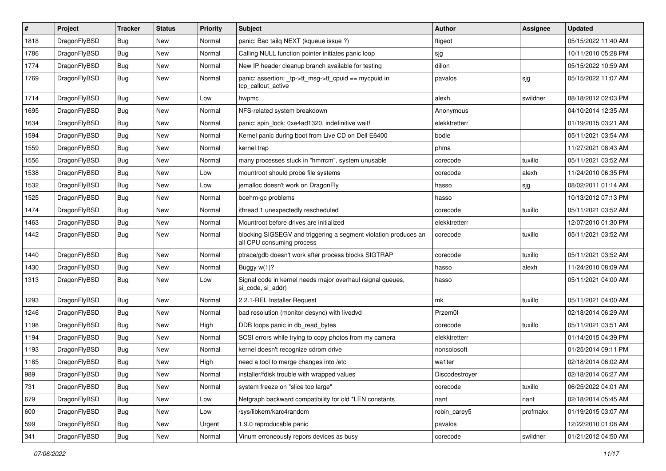| #    | Project      | <b>Tracker</b> | <b>Status</b> | <b>Priority</b> | Subject                                                                                      | Author         | Assignee | <b>Updated</b>      |
|------|--------------|----------------|---------------|-----------------|----------------------------------------------------------------------------------------------|----------------|----------|---------------------|
| 1818 | DragonFlyBSD | <b>Bug</b>     | <b>New</b>    | Normal          | panic: Bad tailq NEXT (kqueue issue ?)                                                       | ftigeot        |          | 05/15/2022 11:40 AM |
| 1786 | DragonFlyBSD | Bug            | New           | Normal          | Calling NULL function pointer initiates panic loop                                           | sjg            |          | 10/11/2010 05:28 PM |
| 1774 | DragonFlyBSD | Bug            | New           | Normal          | New IP header cleanup branch available for testing                                           | dillon         |          | 05/15/2022 10:59 AM |
| 1769 | DragonFlyBSD | <b>Bug</b>     | New           | Normal          | panic: assertion: _tp->tt_msg->tt_cpuid == mycpuid in<br>tcp callout active                  | pavalos        | sjg      | 05/15/2022 11:07 AM |
| 1714 | DragonFlyBSD | <b>Bug</b>     | New           | Low             | hwpmc                                                                                        | alexh          | swildner | 08/18/2012 02:03 PM |
| 1695 | DragonFlyBSD | <b>Bug</b>     | New           | Normal          | NFS-related system breakdown                                                                 | Anonymous      |          | 04/10/2014 12:35 AM |
| 1634 | DragonFlyBSD | Bug            | New           | Normal          | panic: spin lock: 0xe4ad1320, indefinitive wait!                                             | elekktretterr  |          | 01/19/2015 03:21 AM |
| 1594 | DragonFlyBSD | Bug            | New           | Normal          | Kernel panic during boot from Live CD on Dell E6400                                          | bodie          |          | 05/11/2021 03:54 AM |
| 1559 | DragonFlyBSD | <b>Bug</b>     | New           | Normal          | kernel trap                                                                                  | phma           |          | 11/27/2021 08:43 AM |
| 1556 | DragonFlyBSD | Bug            | New           | Normal          | many processes stuck in "hmrrcm", system unusable                                            | corecode       | tuxillo  | 05/11/2021 03:52 AM |
| 1538 | DragonFlyBSD | <b>Bug</b>     | New           | Low             | mountroot should probe file systems                                                          | corecode       | alexh    | 11/24/2010 06:35 PM |
| 1532 | DragonFlyBSD | Bug            | New           | Low             | jemalloc doesn't work on DragonFly                                                           | hasso          | sjg      | 08/02/2011 01:14 AM |
| 1525 | DragonFlyBSD | Bug            | New           | Normal          | boehm-gc problems                                                                            | hasso          |          | 10/13/2012 07:13 PM |
| 1474 | DragonFlyBSD | <b>Bug</b>     | New           | Normal          | ithread 1 unexpectedly rescheduled                                                           | corecode       | tuxillo  | 05/11/2021 03:52 AM |
| 1463 | DragonFlyBSD | <b>Bug</b>     | New           | Normal          | Mountroot before drives are initialized                                                      | elekktretterr  |          | 12/07/2010 01:30 PM |
| 1442 | DragonFlyBSD | Bug            | New           | Normal          | blocking SIGSEGV and triggering a segment violation produces an<br>all CPU consuming process | corecode       | tuxillo  | 05/11/2021 03:52 AM |
| 1440 | DragonFlyBSD | <b>Bug</b>     | New           | Normal          | ptrace/gdb doesn't work after process blocks SIGTRAP                                         | corecode       | tuxillo  | 05/11/2021 03:52 AM |
| 1430 | DragonFlyBSD | <b>Bug</b>     | <b>New</b>    | Normal          | Buggy w(1)?                                                                                  | hasso          | alexh    | 11/24/2010 08:09 AM |
| 1313 | DragonFlyBSD | <b>Bug</b>     | New           | Low             | Signal code in kernel needs major overhaul (signal queues,<br>si code, si addr)              | hasso          |          | 05/11/2021 04:00 AM |
| 1293 | DragonFlyBSD | Bug            | New           | Normal          | 2.2.1-REL Installer Request                                                                  | mk             | tuxillo  | 05/11/2021 04:00 AM |
| 1246 | DragonFlyBSD | Bug            | New           | Normal          | bad resolution (monitor desync) with livedvd                                                 | Przem0l        |          | 02/18/2014 06:29 AM |
| 1198 | DragonFlyBSD | <b>Bug</b>     | New           | High            | DDB loops panic in db_read_bytes                                                             | corecode       | tuxillo  | 05/11/2021 03:51 AM |
| 1194 | DragonFlyBSD | Bug            | New           | Normal          | SCSI errors while trying to copy photos from my camera                                       | elekktretterr  |          | 01/14/2015 04:39 PM |
| 1193 | DragonFlyBSD | <b>Bug</b>     | New           | Normal          | kernel doesn't recognize cdrom drive                                                         | nonsolosoft    |          | 01/25/2014 09:11 PM |
| 1185 | DragonFlyBSD | <b>Bug</b>     | New           | High            | need a tool to merge changes into /etc                                                       | wa1ter         |          | 02/18/2014 06:02 AM |
| 989  | DragonFlyBSD | Bug            | New           | Normal          | installer/fdisk trouble with wrapped values                                                  | Discodestroyer |          | 02/18/2014 06:27 AM |
| 731  | DragonFlyBSD | <b>Bug</b>     | New           | Normal          | system freeze on "slice too large"                                                           | corecode       | tuxillo  | 06/25/2022 04:01 AM |
| 679  | DragonFlyBSD | <b>Bug</b>     | New           | Low             | Netgraph backward compatibility for old *LEN constants                                       | nant           | nant     | 02/18/2014 05:45 AM |
| 600  | DragonFlyBSD | <b>Bug</b>     | New           | Low             | /sys/libkern/karc4random                                                                     | robin_carey5   | profmakx | 01/19/2015 03:07 AM |
| 599  | DragonFlyBSD | <b>Bug</b>     | New           | Urgent          | 1.9.0 reproducable panic                                                                     | pavalos        |          | 12/22/2010 01:08 AM |
| 341  | DragonFlyBSD | <b>Bug</b>     | New           | Normal          | Vinum erroneously repors devices as busy                                                     | corecode       | swildner | 01/21/2012 04:50 AM |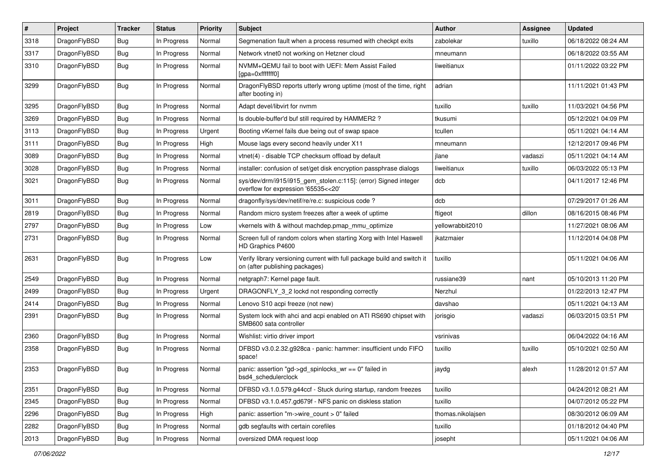| #    | Project      | <b>Tracker</b> | <b>Status</b> | <b>Priority</b> | Subject                                                                                                   | <b>Author</b>     | Assignee | <b>Updated</b>      |
|------|--------------|----------------|---------------|-----------------|-----------------------------------------------------------------------------------------------------------|-------------------|----------|---------------------|
| 3318 | DragonFlyBSD | <b>Bug</b>     | In Progress   | Normal          | Segmenation fault when a process resumed with checkpt exits                                               | zabolekar         | tuxillo  | 06/18/2022 08:24 AM |
| 3317 | DragonFlyBSD | <b>Bug</b>     | In Progress   | Normal          | Network vtnet0 not working on Hetzner cloud                                                               | mneumann          |          | 06/18/2022 03:55 AM |
| 3310 | DragonFlyBSD | <b>Bug</b>     | In Progress   | Normal          | NVMM+QEMU fail to boot with UEFI: Mem Assist Failed<br>[gpa=0xfffffff0]                                   | liweitianux       |          | 01/11/2022 03:22 PM |
| 3299 | DragonFlyBSD | <b>Bug</b>     | In Progress   | Normal          | DragonFlyBSD reports utterly wrong uptime (most of the time, right<br>after booting in)                   | adrian            |          | 11/11/2021 01:43 PM |
| 3295 | DragonFlyBSD | <b>Bug</b>     | In Progress   | Normal          | Adapt devel/libvirt for nvmm                                                                              | tuxillo           | tuxillo  | 11/03/2021 04:56 PM |
| 3269 | DragonFlyBSD | <b>Bug</b>     | In Progress   | Normal          | Is double-buffer'd buf still required by HAMMER2?                                                         | tkusumi           |          | 05/12/2021 04:09 PM |
| 3113 | DragonFlyBSD | <b>Bug</b>     | In Progress   | Urgent          | Booting vKernel fails due being out of swap space                                                         | tcullen           |          | 05/11/2021 04:14 AM |
| 3111 | DragonFlyBSD | <b>Bug</b>     | In Progress   | High            | Mouse lags every second heavily under X11                                                                 | mneumann          |          | 12/12/2017 09:46 PM |
| 3089 | DragonFlyBSD | <b>Bug</b>     | In Progress   | Normal          | vtnet(4) - disable TCP checksum offload by default                                                        | jlane             | vadaszi  | 05/11/2021 04:14 AM |
| 3028 | DragonFlyBSD | Bug            | In Progress   | Normal          | installer: confusion of set/get disk encryption passphrase dialogs                                        | liweitianux       | tuxillo  | 06/03/2022 05:13 PM |
| 3021 | DragonFlyBSD | <b>Bug</b>     | In Progress   | Normal          | sys/dev/drm/i915/i915_gem_stolen.c:115]: (error) Signed integer<br>overflow for expression '65535<<20'    | dcb               |          | 04/11/2017 12:46 PM |
| 3011 | DragonFlyBSD | <b>Bug</b>     | In Progress   | Normal          | dragonfly/sys/dev/netif/re/re.c: suspicious code?                                                         | dcb               |          | 07/29/2017 01:26 AM |
| 2819 | DragonFlyBSD | <b>Bug</b>     | In Progress   | Normal          | Random micro system freezes after a week of uptime                                                        | ftigeot           | dillon   | 08/16/2015 08:46 PM |
| 2797 | DragonFlyBSD | <b>Bug</b>     | In Progress   | Low             | vkernels with & without machdep.pmap mmu optimize                                                         | yellowrabbit2010  |          | 11/27/2021 08:06 AM |
| 2731 | DragonFlyBSD | Bug            | In Progress   | Normal          | Screen full of random colors when starting Xorg with Intel Haswell<br>HD Graphics P4600                   | jkatzmaier        |          | 11/12/2014 04:08 PM |
| 2631 | DragonFlyBSD | Bug            | In Progress   | Low             | Verify library versioning current with full package build and switch it<br>on (after publishing packages) | tuxillo           |          | 05/11/2021 04:06 AM |
| 2549 | DragonFlyBSD | Bug            | In Progress   | Normal          | netgraph7: Kernel page fault.                                                                             | russiane39        | nant     | 05/10/2013 11:20 PM |
| 2499 | DragonFlyBSD | <b>Bug</b>     | In Progress   | Urgent          | DRAGONFLY 3 2 lockd not responding correctly                                                              | Nerzhul           |          | 01/22/2013 12:47 PM |
| 2414 | DragonFlyBSD | Bug            | In Progress   | Normal          | Lenovo S10 acpi freeze (not new)                                                                          | davshao           |          | 05/11/2021 04:13 AM |
| 2391 | DragonFlyBSD | <b>Bug</b>     | In Progress   | Normal          | System lock with ahci and acpi enabled on ATI RS690 chipset with<br>SMB600 sata controller                | jorisgio          | vadaszi  | 06/03/2015 03:51 PM |
| 2360 | DragonFlyBSD | <b>Bug</b>     | In Progress   | Normal          | Wishlist: virtio driver import                                                                            | vsrinivas         |          | 06/04/2022 04:16 AM |
| 2358 | DragonFlyBSD | Bug            | In Progress   | Normal          | DFBSD v3.0.2.32.g928ca - panic: hammer: insufficient undo FIFO<br>space!                                  | tuxillo           | tuxillo  | 05/10/2021 02:50 AM |
| 2353 | DragonFlyBSD | Bug            | In Progress   | Normal          | panic: assertion "gd->gd_spinlocks_wr == 0" failed in<br>bsd4_schedulerclock                              | jaydg             | alexh    | 11/28/2012 01:57 AM |
| 2351 | DragonFlyBSD | <b>Bug</b>     | In Progress   | Normal          | DFBSD v3.1.0.579.g44ccf - Stuck during startup, random freezes                                            | tuxillo           |          | 04/24/2012 08:21 AM |
| 2345 | DragonFlyBSD | <b>Bug</b>     | In Progress   | Normal          | DFBSD v3.1.0.457.gd679f - NFS panic on diskless station                                                   | tuxillo           |          | 04/07/2012 05:22 PM |
| 2296 | DragonFlyBSD | <b>Bug</b>     | In Progress   | High            | panic: assertion "m->wire_count > 0" failed                                                               | thomas.nikolajsen |          | 08/30/2012 06:09 AM |
| 2282 | DragonFlyBSD | <b>Bug</b>     | In Progress   | Normal          | gdb segfaults with certain corefiles                                                                      | tuxillo           |          | 01/18/2012 04:40 PM |
| 2013 | DragonFlyBSD | <b>Bug</b>     | In Progress   | Normal          | oversized DMA request loop                                                                                | josepht           |          | 05/11/2021 04:06 AM |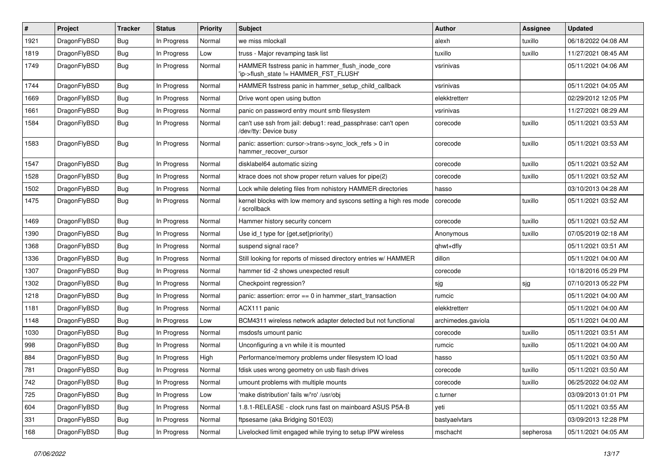| ∦    | Project      | <b>Tracker</b> | <b>Status</b> | <b>Priority</b> | Subject                                                                                   | <b>Author</b>      | <b>Assignee</b> | <b>Updated</b>      |
|------|--------------|----------------|---------------|-----------------|-------------------------------------------------------------------------------------------|--------------------|-----------------|---------------------|
| 1921 | DragonFlyBSD | Bug            | In Progress   | Normal          | we miss mlockall                                                                          | alexh              | tuxillo         | 06/18/2022 04:08 AM |
| 1819 | DragonFlyBSD | <b>Bug</b>     | In Progress   | Low             | truss - Major revamping task list                                                         | tuxillo            | tuxillo         | 11/27/2021 08:45 AM |
| 1749 | DragonFlyBSD | <b>Bug</b>     | In Progress   | Normal          | HAMMER fsstress panic in hammer_flush_inode_core<br>'ip->flush state != HAMMER FST FLUSH' | vsrinivas          |                 | 05/11/2021 04:06 AM |
| 1744 | DragonFlyBSD | <b>Bug</b>     | In Progress   | Normal          | HAMMER fsstress panic in hammer_setup_child_callback                                      | vsrinivas          |                 | 05/11/2021 04:05 AM |
| 1669 | DragonFlyBSD | <b>Bug</b>     | In Progress   | Normal          | Drive wont open using button                                                              | elekktretterr      |                 | 02/29/2012 12:05 PM |
| 1661 | DragonFlyBSD | <b>Bug</b>     | In Progress   | Normal          | panic on password entry mount smb filesystem                                              | vsrinivas          |                 | 11/27/2021 08:29 AM |
| 1584 | DragonFlyBSD | Bug            | In Progress   | Normal          | can't use ssh from jail: debug1: read_passphrase: can't open<br>/dev/tty: Device busy     | corecode           | tuxillo         | 05/11/2021 03:53 AM |
| 1583 | DragonFlyBSD | <b>Bug</b>     | In Progress   | Normal          | panic: assertion: cursor->trans->sync_lock_refs > 0 in<br>hammer_recover_cursor           | corecode           | tuxillo         | 05/11/2021 03:53 AM |
| 1547 | DragonFlyBSD | <b>Bug</b>     | In Progress   | Normal          | disklabel64 automatic sizing                                                              | corecode           | tuxillo         | 05/11/2021 03:52 AM |
| 1528 | DragonFlyBSD | <b>Bug</b>     | In Progress   | Normal          | ktrace does not show proper return values for pipe(2)                                     | corecode           | tuxillo         | 05/11/2021 03:52 AM |
| 1502 | DragonFlyBSD | <b>Bug</b>     | In Progress   | Normal          | Lock while deleting files from nohistory HAMMER directories                               | hasso              |                 | 03/10/2013 04:28 AM |
| 1475 | DragonFlyBSD | Bug            | In Progress   | Normal          | kernel blocks with low memory and syscons setting a high res mode<br>/ scrollback         | corecode           | tuxillo         | 05/11/2021 03:52 AM |
| 1469 | DragonFlyBSD | Bug            | In Progress   | Normal          | Hammer history security concern                                                           | corecode           | tuxillo         | 05/11/2021 03:52 AM |
| 1390 | DragonFlyBSD | Bug            | In Progress   | Normal          | Use id_t type for {get,set}priority()                                                     | Anonymous          | tuxillo         | 07/05/2019 02:18 AM |
| 1368 | DragonFlyBSD | <b>Bug</b>     | In Progress   | Normal          | suspend signal race?                                                                      | qhwt+dfly          |                 | 05/11/2021 03:51 AM |
| 1336 | DragonFlyBSD | <b>Bug</b>     | In Progress   | Normal          | Still looking for reports of missed directory entries w/ HAMMER                           | dillon             |                 | 05/11/2021 04:00 AM |
| 1307 | DragonFlyBSD | <b>Bug</b>     | In Progress   | Normal          | hammer tid -2 shows unexpected result                                                     | corecode           |                 | 10/18/2016 05:29 PM |
| 1302 | DragonFlyBSD | <b>Bug</b>     | In Progress   | Normal          | Checkpoint regression?                                                                    | sjg                | sjg             | 07/10/2013 05:22 PM |
| 1218 | DragonFlyBSD | <b>Bug</b>     | In Progress   | Normal          | panic: assertion: error == 0 in hammer_start_transaction                                  | rumcic             |                 | 05/11/2021 04:00 AM |
| 1181 | DragonFlyBSD | <b>Bug</b>     | In Progress   | Normal          | ACX111 panic                                                                              | elekktretterr      |                 | 05/11/2021 04:00 AM |
| 1148 | DragonFlyBSD | <b>Bug</b>     | In Progress   | Low             | BCM4311 wireless network adapter detected but not functional                              | archimedes.gaviola |                 | 05/11/2021 04:00 AM |
| 1030 | DragonFlyBSD | Bug            | In Progress   | Normal          | msdosfs umount panic                                                                      | corecode           | tuxillo         | 05/11/2021 03:51 AM |
| 998  | DragonFlyBSD | <b>Bug</b>     | In Progress   | Normal          | Unconfiguring a vn while it is mounted                                                    | rumcic             | tuxillo         | 05/11/2021 04:00 AM |
| 884  | DragonFlyBSD | <b>Bug</b>     | In Progress   | High            | Performance/memory problems under filesystem IO load                                      | hasso              |                 | 05/11/2021 03:50 AM |
| 781  | DragonFlyBSD | <b>Bug</b>     | In Progress   | Normal          | fdisk uses wrong geometry on usb flash drives                                             | corecode           | tuxillo         | 05/11/2021 03:50 AM |
| 742  | DragonFlyBSD | <b>Bug</b>     | In Progress   | Normal          | umount problems with multiple mounts                                                      | corecode           | tuxillo         | 06/25/2022 04:02 AM |
| 725  | DragonFlyBSD | <b>Bug</b>     | In Progress   | Low             | 'make distribution' fails w/'ro' /usr/obj                                                 | c.turner           |                 | 03/09/2013 01:01 PM |
| 604  | DragonFlyBSD | <b>Bug</b>     | In Progress   | Normal          | 1.8.1-RELEASE - clock runs fast on mainboard ASUS P5A-B                                   | yeti               |                 | 05/11/2021 03:55 AM |
| 331  | DragonFlyBSD | <b>Bug</b>     | In Progress   | Normal          | ftpsesame (aka Bridging S01E03)                                                           | bastyaelvtars      |                 | 03/09/2013 12:28 PM |
| 168  | DragonFlyBSD | <b>Bug</b>     | In Progress   | Normal          | Livelocked limit engaged while trying to setup IPW wireless                               | mschacht           | sepherosa       | 05/11/2021 04:05 AM |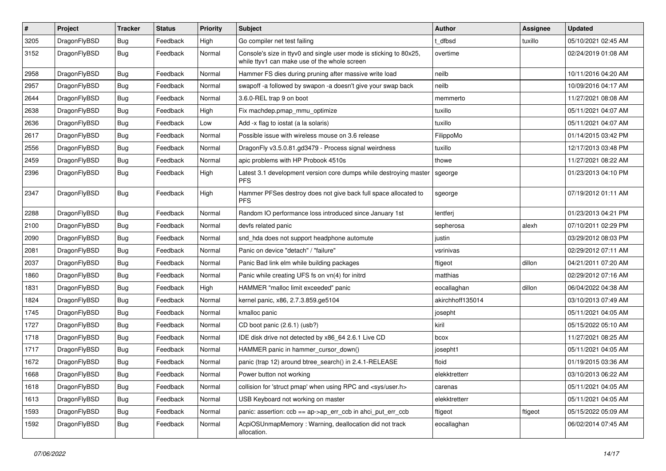| $\sharp$ | Project      | <b>Tracker</b> | <b>Status</b> | <b>Priority</b> | Subject                                                                                                            | <b>Author</b>    | Assignee | <b>Updated</b>      |
|----------|--------------|----------------|---------------|-----------------|--------------------------------------------------------------------------------------------------------------------|------------------|----------|---------------------|
| 3205     | DragonFlyBSD | Bug            | Feedback      | High            | Go compiler net test failing                                                                                       | t_dfbsd          | tuxillo  | 05/10/2021 02:45 AM |
| 3152     | DragonFlyBSD | <b>Bug</b>     | Feedback      | Normal          | Console's size in ttyv0 and single user mode is sticking to 80x25,<br>while ttyv1 can make use of the whole screen | overtime         |          | 02/24/2019 01:08 AM |
| 2958     | DragonFlyBSD | <b>Bug</b>     | Feedback      | Normal          | Hammer FS dies during pruning after massive write load                                                             | neilb            |          | 10/11/2016 04:20 AM |
| 2957     | DragonFlyBSD | Bug            | Feedback      | Normal          | swapoff -a followed by swapon -a doesn't give your swap back                                                       | neilb            |          | 10/09/2016 04:17 AM |
| 2644     | DragonFlyBSD | <b>Bug</b>     | Feedback      | Normal          | 3.6.0-REL trap 9 on boot                                                                                           | memmerto         |          | 11/27/2021 08:08 AM |
| 2638     | DragonFlyBSD | Bug            | Feedback      | High            | Fix machdep.pmap_mmu_optimize                                                                                      | tuxillo          |          | 05/11/2021 04:07 AM |
| 2636     | DragonFlyBSD | <b>Bug</b>     | Feedback      | Low             | Add -x flag to iostat (a la solaris)                                                                               | tuxillo          |          | 05/11/2021 04:07 AM |
| 2617     | DragonFlyBSD | Bug            | Feedback      | Normal          | Possible issue with wireless mouse on 3.6 release                                                                  | FilippoMo        |          | 01/14/2015 03:42 PM |
| 2556     | DragonFlyBSD | Bug            | Feedback      | Normal          | DragonFly v3.5.0.81.gd3479 - Process signal weirdness                                                              | tuxillo          |          | 12/17/2013 03:48 PM |
| 2459     | DragonFlyBSD | <b>Bug</b>     | Feedback      | Normal          | apic problems with HP Probook 4510s                                                                                | thowe            |          | 11/27/2021 08:22 AM |
| 2396     | DragonFlyBSD | Bug            | Feedback      | High            | Latest 3.1 development version core dumps while destroying master<br><b>PFS</b>                                    | sgeorge          |          | 01/23/2013 04:10 PM |
| 2347     | DragonFlyBSD | Bug            | Feedback      | High            | Hammer PFSes destroy does not give back full space allocated to<br><b>PFS</b>                                      | sgeorge          |          | 07/19/2012 01:11 AM |
| 2288     | DragonFlyBSD | Bug            | Feedback      | Normal          | Random IO performance loss introduced since January 1st                                                            | lentferj         |          | 01/23/2013 04:21 PM |
| 2100     | DragonFlyBSD | <b>Bug</b>     | Feedback      | Normal          | devfs related panic                                                                                                | sepherosa        | alexh    | 07/10/2011 02:29 PM |
| 2090     | DragonFlyBSD | Bug            | Feedback      | Normal          | snd_hda does not support headphone automute                                                                        | justin           |          | 03/29/2012 08:03 PM |
| 2081     | DragonFlyBSD | <b>Bug</b>     | Feedback      | Normal          | Panic on device "detach" / "failure"                                                                               | vsrinivas        |          | 02/29/2012 07:11 AM |
| 2037     | DragonFlyBSD | <b>Bug</b>     | Feedback      | Normal          | Panic Bad link elm while building packages                                                                         | ftigeot          | dillon   | 04/21/2011 07:20 AM |
| 1860     | DragonFlyBSD | Bug            | Feedback      | Normal          | Panic while creating UFS fs on vn(4) for initrd                                                                    | matthias         |          | 02/29/2012 07:16 AM |
| 1831     | DragonFlyBSD | <b>Bug</b>     | Feedback      | High            | HAMMER "malloc limit exceeded" panic                                                                               | eocallaghan      | dillon   | 06/04/2022 04:38 AM |
| 1824     | DragonFlyBSD | Bug            | Feedback      | Normal          | kernel panic, x86, 2.7.3.859.ge5104                                                                                | akirchhoff135014 |          | 03/10/2013 07:49 AM |
| 1745     | DragonFlyBSD | <b>Bug</b>     | Feedback      | Normal          | kmalloc panic                                                                                                      | josepht          |          | 05/11/2021 04:05 AM |
| 1727     | DragonFlyBSD | <b>Bug</b>     | Feedback      | Normal          | CD boot panic (2.6.1) (usb?)                                                                                       | kiril            |          | 05/15/2022 05:10 AM |
| 1718     | DragonFlyBSD | Bug            | Feedback      | Normal          | IDE disk drive not detected by x86_64 2.6.1 Live CD                                                                | bcox             |          | 11/27/2021 08:25 AM |
| 1717     | DragonFlyBSD | <b>Bug</b>     | Feedback      | Normal          | HAMMER panic in hammer cursor down()                                                                               | josepht1         |          | 05/11/2021 04:05 AM |
| 1672     | DragonFlyBSD | <b>Bug</b>     | Feedback      | Normal          | panic (trap 12) around btree_search() in 2.4.1-RELEASE                                                             | floid            |          | 01/19/2015 03:36 AM |
| 1668     | DragonFlyBSD | Bug            | Feedback      | Normal          | Power button not working                                                                                           | elekktretterr    |          | 03/10/2013 06:22 AM |
| 1618     | DragonFlyBSD | <b>Bug</b>     | Feedback      | Normal          | collision for 'struct pmap' when using RPC and <sys user.h=""></sys>                                               | carenas          |          | 05/11/2021 04:05 AM |
| 1613     | DragonFlyBSD | Bug            | Feedback      | Normal          | USB Keyboard not working on master                                                                                 | elekktretterr    |          | 05/11/2021 04:05 AM |
| 1593     | DragonFlyBSD | <b>Bug</b>     | Feedback      | Normal          | panic: assertion: $ccb == ap > ap$ err $ccb$ in ahci put err $ccb$                                                 | ftigeot          | ftigeot  | 05/15/2022 05:09 AM |
| 1592     | DragonFlyBSD | <b>Bug</b>     | Feedback      | Normal          | AcpiOSUnmapMemory: Warning, deallocation did not track<br>allocation.                                              | eocallaghan      |          | 06/02/2014 07:45 AM |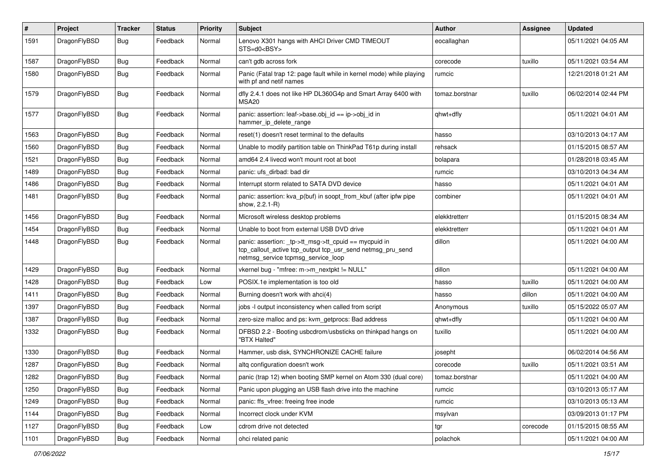| $\pmb{\#}$ | Project      | <b>Tracker</b> | <b>Status</b> | <b>Priority</b> | <b>Subject</b>                                                                                                                                            | <b>Author</b>  | Assignee | <b>Updated</b>      |
|------------|--------------|----------------|---------------|-----------------|-----------------------------------------------------------------------------------------------------------------------------------------------------------|----------------|----------|---------------------|
| 1591       | DragonFlyBSD | Bug            | Feedback      | Normal          | Lenovo X301 hangs with AHCI Driver CMD TIMEOUT<br>STS=d0 <bsy></bsy>                                                                                      | eocallaghan    |          | 05/11/2021 04:05 AM |
| 1587       | DragonFlyBSD | Bug            | Feedback      | Normal          | can't gdb across fork                                                                                                                                     | corecode       | tuxillo  | 05/11/2021 03:54 AM |
| 1580       | DragonFlyBSD | Bug            | Feedback      | Normal          | Panic (Fatal trap 12: page fault while in kernel mode) while playing<br>with pf and netif names                                                           | rumcic         |          | 12/21/2018 01:21 AM |
| 1579       | DragonFlyBSD | Bug            | Feedback      | Normal          | dfly 2.4.1 does not like HP DL360G4p and Smart Array 6400 with<br><b>MSA20</b>                                                                            | tomaz.borstnar | tuxillo  | 06/02/2014 02:44 PM |
| 1577       | DragonFlyBSD | Bug            | Feedback      | Normal          | panic: assertion: leaf->base.obj_id == ip->obj_id in<br>hammer_ip_delete_range                                                                            | qhwt+dfly      |          | 05/11/2021 04:01 AM |
| 1563       | DragonFlyBSD | Bug            | Feedback      | Normal          | reset(1) doesn't reset terminal to the defaults                                                                                                           | hasso          |          | 03/10/2013 04:17 AM |
| 1560       | DragonFlyBSD | Bug            | Feedback      | Normal          | Unable to modify partition table on ThinkPad T61p during install                                                                                          | rehsack        |          | 01/15/2015 08:57 AM |
| 1521       | DragonFlyBSD | Bug            | Feedback      | Normal          | amd64 2.4 livecd won't mount root at boot                                                                                                                 | bolapara       |          | 01/28/2018 03:45 AM |
| 1489       | DragonFlyBSD | Bug            | Feedback      | Normal          | panic: ufs dirbad: bad dir                                                                                                                                | rumcic         |          | 03/10/2013 04:34 AM |
| 1486       | DragonFlyBSD | Bug            | Feedback      | Normal          | Interrupt storm related to SATA DVD device                                                                                                                | hasso          |          | 05/11/2021 04:01 AM |
| 1481       | DragonFlyBSD | Bug            | Feedback      | Normal          | panic: assertion: kva_p(buf) in soopt_from_kbuf (after ipfw pipe<br>show, 2.2.1-R)                                                                        | combiner       |          | 05/11/2021 04:01 AM |
| 1456       | DragonFlyBSD | Bug            | Feedback      | Normal          | Microsoft wireless desktop problems                                                                                                                       | elekktretterr  |          | 01/15/2015 08:34 AM |
| 1454       | DragonFlyBSD | Bug            | Feedback      | Normal          | Unable to boot from external USB DVD drive                                                                                                                | elekktretterr  |          | 05/11/2021 04:01 AM |
| 1448       | DragonFlyBSD | Bug            | Feedback      | Normal          | panic: assertion: _tp->tt_msg->tt_cpuid == mycpuid in<br>tcp_callout_active tcp_output tcp_usr_send netmsg_pru_send<br>netmsg_service tcpmsg_service_loop | dillon         |          | 05/11/2021 04:00 AM |
| 1429       | DragonFlyBSD | Bug            | Feedback      | Normal          | vkernel bug - "mfree: m->m_nextpkt != NULL"                                                                                                               | dillon         |          | 05/11/2021 04:00 AM |
| 1428       | DragonFlyBSD | <b>Bug</b>     | Feedback      | Low             | POSIX.1e implementation is too old                                                                                                                        | hasso          | tuxillo  | 05/11/2021 04:00 AM |
| 1411       | DragonFlyBSD | Bug            | Feedback      | Normal          | Burning doesn't work with ahci(4)                                                                                                                         | hasso          | dillon   | 05/11/2021 04:00 AM |
| 1397       | DragonFlyBSD | Bug            | Feedback      | Normal          | jobs -I output inconsistency when called from script                                                                                                      | Anonymous      | tuxillo  | 05/15/2022 05:07 AM |
| 1387       | DragonFlyBSD | Bug            | Feedback      | Normal          | zero-size malloc and ps: kvm_getprocs: Bad address                                                                                                        | qhwt+dfly      |          | 05/11/2021 04:00 AM |
| 1332       | DragonFlyBSD | Bug            | Feedback      | Normal          | DFBSD 2.2 - Booting usbcdrom/usbsticks on thinkpad hangs on<br>"BTX Halted"                                                                               | tuxillo        |          | 05/11/2021 04:00 AM |
| 1330       | DragonFlyBSD | <b>Bug</b>     | Feedback      | Normal          | Hammer, usb disk, SYNCHRONIZE CACHE failure                                                                                                               | josepht        |          | 06/02/2014 04:56 AM |
| 1287       | DragonFlyBSD | Bug            | Feedback      | Normal          | altg configuration doesn't work                                                                                                                           | corecode       | tuxillo  | 05/11/2021 03:51 AM |
| 1282       | DragonFlyBSD | Bug            | Feedback      | Normal          | panic (trap 12) when booting SMP kernel on Atom 330 (dual core)                                                                                           | tomaz.borstnar |          | 05/11/2021 04:00 AM |
| 1250       | DragonFlyBSD | <b>Bug</b>     | Feedback      | Normal          | Panic upon plugging an USB flash drive into the machine                                                                                                   | rumcic         |          | 03/10/2013 05:17 AM |
| 1249       | DragonFlyBSD | <b>Bug</b>     | Feedback      | Normal          | panic: ffs vfree: freeing free inode                                                                                                                      | rumcic         |          | 03/10/2013 05:13 AM |
| 1144       | DragonFlyBSD | Bug            | Feedback      | Normal          | Incorrect clock under KVM                                                                                                                                 | msylvan        |          | 03/09/2013 01:17 PM |
| 1127       | DragonFlyBSD | Bug            | Feedback      | Low             | cdrom drive not detected                                                                                                                                  | tgr            | corecode | 01/15/2015 08:55 AM |
| 1101       | DragonFlyBSD | Bug            | Feedback      | Normal          | ohci related panic                                                                                                                                        | polachok       |          | 05/11/2021 04:00 AM |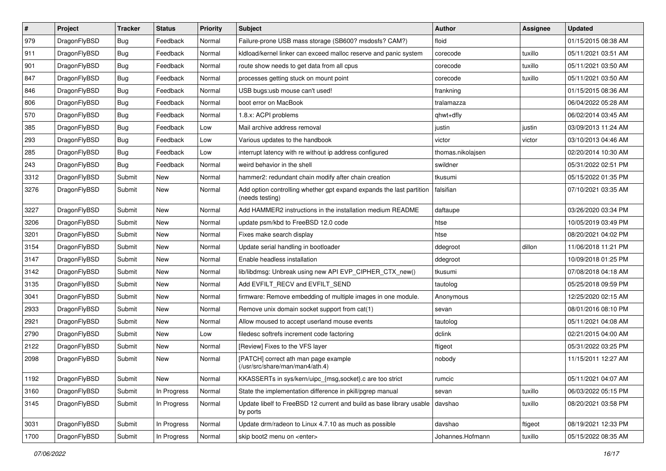| $\pmb{\#}$ | Project      | <b>Tracker</b> | <b>Status</b> | <b>Priority</b> | Subject                                                                                 | <b>Author</b>     | <b>Assignee</b> | <b>Updated</b>      |
|------------|--------------|----------------|---------------|-----------------|-----------------------------------------------------------------------------------------|-------------------|-----------------|---------------------|
| 979        | DragonFlyBSD | Bug            | Feedback      | Normal          | Failure-prone USB mass storage (SB600? msdosfs? CAM?)                                   | floid             |                 | 01/15/2015 08:38 AM |
| 911        | DragonFlyBSD | Bug            | Feedback      | Normal          | kldload/kernel linker can exceed malloc reserve and panic system                        | corecode          | tuxillo         | 05/11/2021 03:51 AM |
| 901        | DragonFlyBSD | Bug            | Feedback      | Normal          | route show needs to get data from all cpus                                              | corecode          | tuxillo         | 05/11/2021 03:50 AM |
| 847        | DragonFlyBSD | <b>Bug</b>     | Feedback      | Normal          | processes getting stuck on mount point                                                  | corecode          | tuxillo         | 05/11/2021 03:50 AM |
| 846        | DragonFlyBSD | Bug            | Feedback      | Normal          | USB bugs:usb mouse can't used!                                                          | frankning         |                 | 01/15/2015 08:36 AM |
| 806        | DragonFlyBSD | Bug            | Feedback      | Normal          | boot error on MacBook                                                                   | tralamazza        |                 | 06/04/2022 05:28 AM |
| 570        | DragonFlyBSD | Bug            | Feedback      | Normal          | 1.8.x: ACPI problems                                                                    | qhwt+dfly         |                 | 06/02/2014 03:45 AM |
| 385        | DragonFlyBSD | Bug            | Feedback      | Low             | Mail archive address removal                                                            | justin            | justin          | 03/09/2013 11:24 AM |
| 293        | DragonFlyBSD | Bug            | Feedback      | Low             | Various updates to the handbook                                                         | victor            | victor          | 03/10/2013 04:46 AM |
| 285        | DragonFlyBSD | Bug            | Feedback      | Low             | interrupt latency with re without ip address configured                                 | thomas.nikolajsen |                 | 02/20/2014 10:30 AM |
| 243        | DragonFlyBSD | Bug            | Feedback      | Normal          | weird behavior in the shell                                                             | swildner          |                 | 05/31/2022 02:51 PM |
| 3312       | DragonFlyBSD | Submit         | <b>New</b>    | Normal          | hammer2: redundant chain modify after chain creation                                    | tkusumi           |                 | 05/15/2022 01:35 PM |
| 3276       | DragonFlyBSD | Submit         | New           | Normal          | Add option controlling whether gpt expand expands the last partition<br>(needs testing) | falsifian         |                 | 07/10/2021 03:35 AM |
| 3227       | DragonFlyBSD | Submit         | New           | Normal          | Add HAMMER2 instructions in the installation medium README                              | daftaupe          |                 | 03/26/2020 03:34 PM |
| 3206       | DragonFlyBSD | Submit         | New           | Normal          | update psm/kbd to FreeBSD 12.0 code                                                     | htse              |                 | 10/05/2019 03:49 PM |
| 3201       | DragonFlyBSD | Submit         | New           | Normal          | Fixes make search display                                                               | htse              |                 | 08/20/2021 04:02 PM |
| 3154       | DragonFlyBSD | Submit         | <b>New</b>    | Normal          | Update serial handling in bootloader                                                    | ddegroot          | dillon          | 11/06/2018 11:21 PM |
| 3147       | DragonFlyBSD | Submit         | New           | Normal          | Enable headless installation                                                            | ddegroot          |                 | 10/09/2018 01:25 PM |
| 3142       | DragonFlyBSD | Submit         | New           | Normal          | lib/libdmsg: Unbreak using new API EVP_CIPHER_CTX_new()                                 | tkusumi           |                 | 07/08/2018 04:18 AM |
| 3135       | DragonFlyBSD | Submit         | New           | Normal          | Add EVFILT_RECV and EVFILT_SEND                                                         | tautolog          |                 | 05/25/2018 09:59 PM |
| 3041       | DragonFlyBSD | Submit         | <b>New</b>    | Normal          | firmware: Remove embedding of multiple images in one module.                            | Anonymous         |                 | 12/25/2020 02:15 AM |
| 2933       | DragonFlyBSD | Submit         | New           | Normal          | Remove unix domain socket support from cat(1)                                           | sevan             |                 | 08/01/2016 08:10 PM |
| 2921       | DragonFlyBSD | Submit         | New           | Normal          | Allow moused to accept userland mouse events                                            | tautolog          |                 | 05/11/2021 04:08 AM |
| 2790       | DragonFlyBSD | Submit         | New           | Low             | filedesc softrefs increment code factoring                                              | dclink            |                 | 02/21/2015 04:00 AM |
| 2122       | DragonFlyBSD | Submit         | New           | Normal          | [Review] Fixes to the VFS layer                                                         | ftigeot           |                 | 05/31/2022 03:25 PM |
| 2098       | DragonFlyBSD | Submit         | New           | Normal          | [PATCH] correct ath man page example<br>(/usr/src/share/man/man4/ath.4)                 | nobody            |                 | 11/15/2011 12:27 AM |
| 1192       | DragonFlyBSD | Submit         | New           | Normal          | KKASSERTs in sys/kern/uipc_{msg,socket}.c are too strict                                | rumcic            |                 | 05/11/2021 04:07 AM |
| 3160       | DragonFlyBSD | Submit         | In Progress   | Normal          | State the implementation difference in pkill/pgrep manual                               | sevan             | tuxillo         | 06/03/2022 05:15 PM |
| 3145       | DragonFlyBSD | Submit         | In Progress   | Normal          | Update libelf to FreeBSD 12 current and build as base library usable<br>by ports        | davshao           | tuxillo         | 08/20/2021 03:58 PM |
| 3031       | DragonFlyBSD | Submit         | In Progress   | Normal          | Update drm/radeon to Linux 4.7.10 as much as possible                                   | davshao           | ftigeot         | 08/19/2021 12:33 PM |
| 1700       | DragonFlyBSD | Submit         | In Progress   | Normal          | skip boot2 menu on <enter></enter>                                                      | Johannes.Hofmann  | tuxillo         | 05/15/2022 08:35 AM |